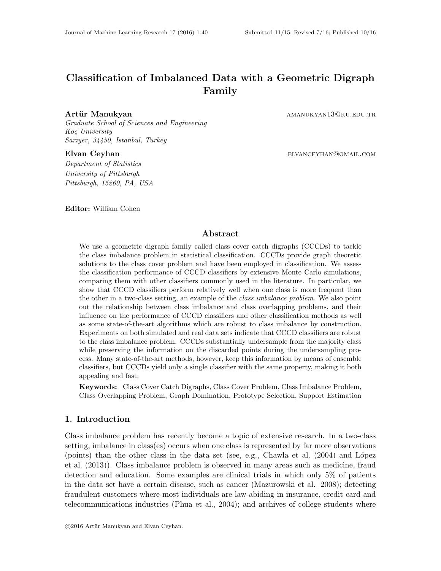# Classification of Imbalanced Data with a Geometric Digraph Family

Graduate School of Sciences and Engineering Koç University Sarıyer, 34450, Istanbul, Turkey

Department of Statistics University of Pittsburgh Pittsburgh, 15260, PA, USA

Editor: William Cohen

Artür Manukyan amanukyan amanukyan amanukyan amanukyan amanuk amanuk amanuk amanuk amanuk amanuk amanuk amanuk

Elvan Ceyhan elizantel elizantel elizantel elizantel elizantel elizantel elizantel elizantel elizantel elizantel elizantel elizantel elizantel elizantel elizantel elizantel elizantel elizantel elizantel elizantel elizantel

## Abstract

We use a geometric digraph family called class cover catch digraphs (CCCDs) to tackle the class imbalance problem in statistical classification. CCCDs provide graph theoretic solutions to the class cover problem and have been employed in classification. We assess the classification performance of CCCD classifiers by extensive Monte Carlo simulations, comparing them with other classifiers commonly used in the literature. In particular, we show that CCCD classifiers perform relatively well when one class is more frequent than the other in a two-class setting, an example of the class imbalance problem. We also point out the relationship between class imbalance and class overlapping problems, and their influence on the performance of CCCD classifiers and other classification methods as well as some state-of-the-art algorithms which are robust to class imbalance by construction. Experiments on both simulated and real data sets indicate that CCCD classifiers are robust to the class imbalance problem. CCCDs substantially undersample from the majority class while preserving the information on the discarded points during the undersampling process. Many state-of-the-art methods, however, keep this information by means of ensemble classifiers, but CCCDs yield only a single classifier with the same property, making it both appealing and fast.

Keywords: Class Cover Catch Digraphs, Class Cover Problem, Class Imbalance Problem, Class Overlapping Problem, Graph Domination, Prototype Selection, Support Estimation

## 1. Introduction

Class imbalance problem has recently become a topic of extensive research. In a two-class setting, imbalance in class(es) occurs when one class is represented by far more observations (points) than the other class in the data set (see, e.g., [Chawla et al.](#page-36-0)  $(2004)$  and López [et al.](#page-38-0) [\(2013\)](#page-38-0)). Class imbalance problem is observed in many areas such as medicine, fraud detection and education. Some examples are clinical trials in which only 5% of patients in the data set have a certain disease, such as cancer [\(Mazurowski et al., 2008\)](#page-38-1); detecting fraudulent customers where most individuals are law-abiding in insurance, credit card and telecommunications industries [\(Phua et al., 2004\)](#page-38-2); and archives of college students where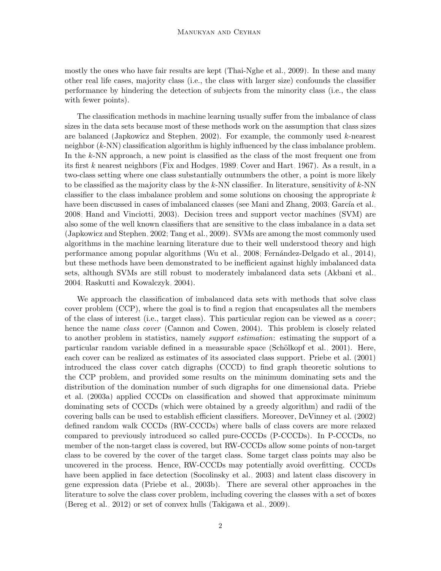mostly the ones who have fair results are kept [\(Thai-Nghe et al., 2009\)](#page-39-0). In these and many other real life cases, majority class (i.e., the class with larger size) confounds the classifier performance by hindering the detection of subjects from the minority class (i.e., the class with fewer points).

The classification methods in machine learning usually suffer from the imbalance of class sizes in the data sets because most of these methods work on the assumption that class sizes are balanced [\(Japkowicz and Stephen, 2002\)](#page-37-0). For example, the commonly used k-nearest neighbor (k-NN) classification algorithm is highly influenced by the class imbalance problem. In the  $k$ -NN approach, a new point is classified as the class of the most frequent one from its first k nearest neighbors [\(Fix and Hodges, 1989;](#page-37-1) [Cover and Hart, 1967\)](#page-36-1). As a result, in a two-class setting where one class substantially outnumbers the other, a point is more likely to be classified as the majority class by the  $k$ -NN classifier. In literature, sensitivity of  $k$ -NN classifier to the class imbalance problem and some solutions on choosing the appropriate  $k$ have been discussed in cases of imbalanced classes (see [Mani and Zhang, 2003;](#page-38-3) García et al., [2008;](#page-37-2) [Hand and Vinciotti, 2003\)](#page-37-3). Decision trees and support vector machines (SVM) are also some of the well known classifiers that are sensitive to the class imbalance in a data set [\(Japkowicz and Stephen, 2002;](#page-37-0) [Tang et al., 2009\)](#page-39-1). SVMs are among the most commonly used algorithms in the machine learning literature due to their well understood theory and high performance among popular algorithms [\(Wu et al., 2008;](#page-39-2) Fernández-Delgado et al., 2014), but these methods have been demonstrated to be inefficient against highly imbalanced data sets, although SVMs are still robust to moderately imbalanced data sets [\(Akbani et al.,](#page-35-0) [2004;](#page-35-0) [Raskutti and Kowalczyk, 2004\)](#page-39-3).

We approach the classification of imbalanced data sets with methods that solve class cover problem (CCP), where the goal is to find a region that encapsulates all the members of the class of interest (i.e., target class). This particular region can be viewed as a cover ; hence the name class cover [\(Cannon and Cowen, 2004\)](#page-35-1). This problem is closely related to another problem in statistics, namely support estimation: estimating the support of a particular random variable defined in a measurable space (Schölkopf et al., 2001). Here, each cover can be realized as estimates of its associated class support. [Priebe et al.](#page-38-4) [\(2001\)](#page-38-4) introduced the class cover catch digraphs (CCCD) to find graph theoretic solutions to the CCP problem, and provided some results on the minimum dominating sets and the distribution of the domination number of such digraphs for one dimensional data. [Priebe](#page-38-5) [et al.](#page-38-5) [\(2003a\)](#page-38-5) applied CCCDs on classification and showed that approximate minimum dominating sets of CCCDs (which were obtained by a greedy algorithm) and radii of the covering balls can be used to establish efficient classifiers. Moreover, [DeVinney et al.](#page-36-3) [\(2002\)](#page-36-3) defined random walk CCCDs (RW-CCCDs) where balls of class covers are more relaxed compared to previously introduced so called pure-CCCDs (P-CCCDs). In P-CCCDs, no member of the non-target class is covered, but RW-CCCDs allow some points of non-target class to be covered by the cover of the target class. Some target class points may also be uncovered in the process. Hence, RW-CCCDs may potentially avoid overfitting. CCCDs have been applied in face detection [\(Socolinsky et al., 2003\)](#page-39-5) and latent class discovery in gene expression data [\(Priebe et al., 2003b\)](#page-38-6). There are several other approaches in the literature to solve the class cover problem, including covering the classes with a set of boxes [\(Bereg et al., 2012\)](#page-35-2) or set of convex hulls [\(Takigawa et al., 2009\)](#page-39-6).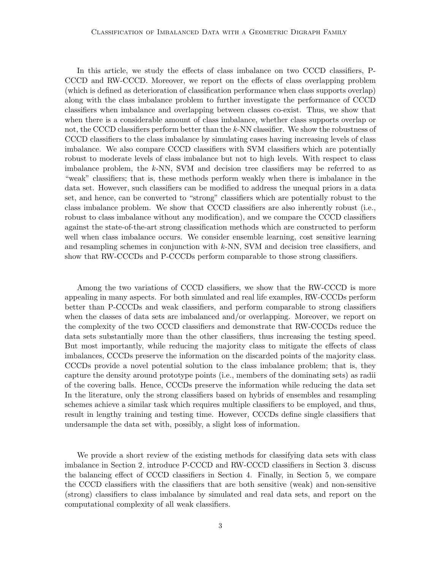### Classification of Imbalanced Data with a Geometric Digraph Family

In this article, we study the effects of class imbalance on two CCCD classifiers, P-CCCD and RW-CCCD. Moreover, we report on the effects of class overlapping problem (which is defined as deterioration of classification performance when class supports overlap) along with the class imbalance problem to further investigate the performance of CCCD classifiers when imbalance and overlapping between classes co-exist. Thus, we show that when there is a considerable amount of class imbalance, whether class supports overlap or not, the CCCD classifiers perform better than the k-NN classifier. We show the robustness of CCCD classifiers to the class imbalance by simulating cases having increasing levels of class imbalance. We also compare CCCD classifiers with SVM classifiers which are potentially robust to moderate levels of class imbalance but not to high levels. With respect to class imbalance problem, the k-NN, SVM and decision tree classifiers may be referred to as "weak" classifiers; that is, these methods perform weakly when there is imbalance in the data set. However, such classifiers can be modified to address the unequal priors in a data set, and hence, can be converted to "strong" classifiers which are potentially robust to the class imbalance problem. We show that CCCD classifiers are also inherently robust (i.e., robust to class imbalance without any modification), and we compare the CCCD classifiers against the state-of-the-art strong classification methods which are constructed to perform well when class imbalance occurs. We consider ensemble learning, cost sensitive learning and resampling schemes in conjunction with k-NN, SVM and decision tree classifiers, and show that RW-CCCDs and P-CCCDs perform comparable to those strong classifiers.

Among the two variations of CCCD classifiers, we show that the RW-CCCD is more appealing in many aspects. For both simulated and real life examples, RW-CCCDs perform better than P-CCCDs and weak classifiers, and perform comparable to strong classifiers when the classes of data sets are imbalanced and/or overlapping. Moreover, we report on the complexity of the two CCCD classifiers and demonstrate that RW-CCCDs reduce the data sets substantially more than the other classifiers, thus increasing the testing speed. But most importantly, while reducing the majority class to mitigate the effects of class imbalances, CCCDs preserve the information on the discarded points of the majority class. CCCDs provide a novel potential solution to the class imbalance problem; that is, they capture the density around prototype points (i.e., members of the dominating sets) as radii of the covering balls. Hence, CCCDs preserve the information while reducing the data set In the literature, only the strong classifiers based on hybrids of ensembles and resampling schemes achieve a similar task which requires multiple classifiers to be employed, and thus, result in lengthy training and testing time. However, CCCDs define single classifiers that undersample the data set with, possibly, a slight loss of information.

We provide a short review of the existing methods for classifying data sets with class imbalance in Section [2,](#page-3-0) introduce P-CCCD and RW-CCCD classifiers in Section [3,](#page-4-0) discuss the balancing effect of CCCD classifiers in Section [4.](#page-11-0) Finally, in Section [5,](#page-13-0) we compare the CCCD classifiers with the classifiers that are both sensitive (weak) and non-sensitive (strong) classifiers to class imbalance by simulated and real data sets, and report on the computational complexity of all weak classifiers.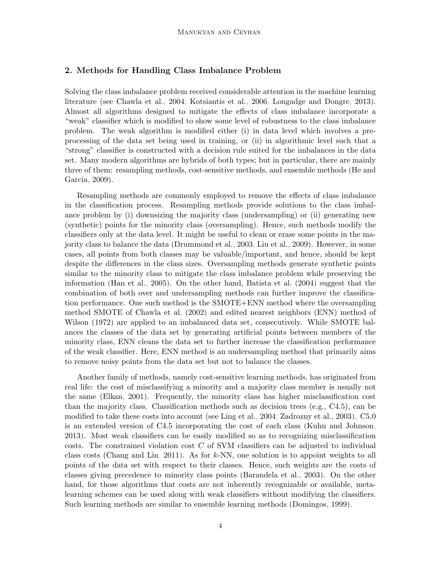## <span id="page-3-0"></span>2. Methods for Handling Class Imbalance Problem

Solving the class imbalance problem received considerable attention in the machine learning literature (see [Chawla et al., 2004;](#page-36-0) [Kotsiantis et al., 2006;](#page-37-4) [Longadge and Dongre, 2013\)](#page-38-7). Almost all algorithms designed to mitigate the effects of class imbalance incorporate a "weak" classifier which is modified to show some level of robustness to the class imbalance problem. The weak algorithm is modified either (i) in data level which involves a preprocessing of the data set being used in training, or (ii) in algorithmic level such that a "strong" classifier is constructed with a decision rule suited for the imbalances in the data set. Many modern algorithms are hybrids of both types; but in particular, there are mainly three of them: resampling methods, cost-sensitive methods, and ensemble methods [\(He and](#page-37-5) [Garcia, 2009\)](#page-37-5).

Resampling methods are commonly employed to remove the effects of class imbalance in the classification process. Resampling methods provide solutions to the class imbalance problem by (i) downsizing the majority class (undersampling) or (ii) generating new (synthetic) points for the minority class (oversampling). Hence, such methods modify the classifiers only at the data level. It might be useful to clean or erase some points in the majority class to balance the data [\(Drummond et al., 2003;](#page-36-4) [Liu et al., 2009\)](#page-38-8). However, in some cases, all points from both classes may be valuable/important, and hence, should be kept despite the differences in the class sizes. Oversampling methods generate synthetic points similar to the minority class to mitigate the class imbalance problem while preserving the information [\(Han et al., 2005\)](#page-37-6). On the other hand, [Batista et al.](#page-35-3) [\(2004\)](#page-35-3) suggest that the combination of both over and undersampling methods can further improve the classification performance. One such method is the SMOTE+ENN method where the oversampling method SMOTE of [Chawla et al.](#page-36-5) [\(2002\)](#page-36-5) and edited nearest neighbors (ENN) method of [Wilson](#page-39-7) [\(1972\)](#page-39-7) are applied to an imbalanced data set, consecutively. While SMOTE balances the classes of the data set by generating artificial points between members of the minority class, ENN cleans the data set to further increase the classification performance of the weak classifier. Here, ENN method is an undersampling method that primarily aims to remove noisy points from the data set but not to balance the classes.

Another family of methods, namely cost-sensitive learning methods, has originated from real life: the cost of misclassifying a minority and a majority class member is usually not the same [\(Elkan, 2001\)](#page-36-6). Frequently, the minority class has higher misclassification cost than the majority class. Classification methods such as decision trees (e.g., C4.5), can be modified to take these costs into account (see [Ling et al., 2004;](#page-38-9) [Zadrozny et al., 2003\)](#page-39-8). C5.0 is an extended version of C4.5 incorporating the cost of each class [\(Kuhn and Johnson,](#page-37-7) [2013\)](#page-37-7). Most weak classifiers can be easily modified so as to recognizing misclassification costs. The constrained violation cost  $C$  of SVM classifiers can be adjusted to individual class costs [\(Chang and Lin, 2011\)](#page-35-4). As for  $k$ -NN, one solution is to appoint weights to all points of the data set with respect to their classes. Hence, such weights are the costs of classes giving precedence to minority class points [\(Barandela et al., 2003\)](#page-35-5). On the other hand, for those algorithms that costs are not inherently recognizable or available, metalearning schemes can be used along with weak classifiers without modifying the classifiers. Such learning methods are similar to ensemble learning methods [\(Domingos, 1999\)](#page-36-7).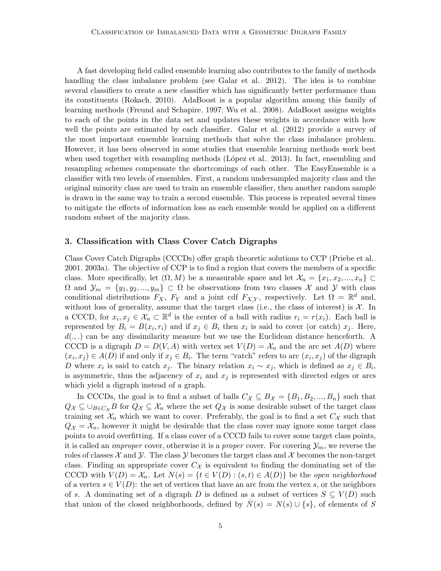A fast developing field called ensemble learning also contributes to the family of methods handling the class imbalance problem (see [Galar et al., 2012\)](#page-37-8). The idea is to combine several classifiers to create a new classifier which has significantly better performance than its constituents [\(Rokach, 2010\)](#page-39-9). AdaBoost is a popular algorithm among this family of learning methods [\(Freund and Schapire, 1997;](#page-37-9) [Wu et al., 2008\)](#page-39-2). AdaBoost assigns weights to each of the points in the data set and updates these weights in accordance with how well the points are estimated by each classifier. [Galar et al.](#page-37-8) [\(2012\)](#page-37-8) provide a survey of the most important ensemble learning methods that solve the class imbalance problem. However, it has been observed in some studies that ensemble learning methods work best when used together with resampling methods (L $\acute{o}p$ ez et al., 2013). In fact, ensembling and resampling schemes compensate the shortcomings of each other. The EasyEnsemble is a classifier with two levels of ensembles. First, a random undersampled majority class and the original minority class are used to train an ensemble classifier, then another random sample is drawn in the same way to train a second ensemble. This process is repeated several times to mitigate the effects of information loss as each ensemble would be applied on a different random subset of the majority class.

## <span id="page-4-0"></span>3. Classification with Class Cover Catch Digraphs

Class Cover Catch Digraphs (CCCDs) offer graph theoretic solutions to CCP [\(Priebe et al.,](#page-38-4) [2001,](#page-38-4) [2003a\)](#page-38-5). The objective of CCP is to find a region that covers the members of a specific class. More specifically, let  $(\Omega, M)$  be a measurable space and let  $\mathcal{X}_n = \{x_1, x_2, ..., x_n\} \subset$  $\Omega$  and  $\mathcal{Y}_m = \{y_1, y_2, ..., y_m\} \subset \Omega$  be observations from two classes X and Y with class conditional distributions  $F_X$ ,  $F_Y$  and a joint cdf  $F_{X,Y}$ , respectively. Let  $\Omega = \mathbb{R}^d$  and, without loss of generality, assume that the target class (i.e., the class of interest) is  $\mathcal{X}$ . In a CCCD, for  $x_i, x_j \in \mathcal{X}_n \subset \mathbb{R}^d$  is the center of a ball with radius  $r_i = r(x_i)$ . Each ball is represented by  $B_i = B(x_i, r_i)$  and if  $x_j \in B_i$  then  $x_i$  is said to cover (or catch)  $x_j$ . Here,  $d(.,.)$  can be any dissimilarity measure but we use the Euclidean distance henceforth. A CCCD is a digraph  $D = D(V, A)$  with vertex set  $V(D) = X_n$  and the arc set  $A(D)$  where  $(x_i, x_j) \in A(D)$  if and only if  $x_j \in B_i$ . The term "catch" refers to arc  $(x_i, x_j)$  of the digraph D where  $x_i$  is said to catch  $x_j$ . The binary relation  $x_i \sim x_j$ , which is defined as  $x_j \in B_i$ , is asymmetric, thus the adjacency of  $x_i$  and  $x_j$  is represented with directed edges or arcs which yield a digraph instead of a graph.

In CCCDs, the goal is to find a subset of balls  $C_{\mathcal{X}} \subseteq B_{\mathcal{X}} = \{B_1, B_2, ..., B_n\}$  such that  $Q_{\mathcal{X}} \subseteq \bigcup_{B \in C_{\mathcal{X}}} B$  for  $Q_{\mathcal{X}} \subseteq \mathcal{X}_n$  where the set  $Q_{\mathcal{X}}$  is some desirable subset of the target class training set  $\mathcal{X}_n$  which we want to cover. Preferably, the goal is to find a set  $C_{\mathcal{X}}$  such that  $Q_{\mathcal{X}} = \mathcal{X}_n$ , however it might be desirable that the class cover may ignore some target class points to avoid overfitting. If a class cover of a CCCD fails to cover some target class points, it is called an *improper* cover, otherwise it is a *proper* cover. For covering  $\mathcal{Y}_m$ , we reverse the roles of classes  $\mathcal X$  and  $\mathcal Y$ . The class  $\mathcal Y$  becomes the target class and  $\mathcal X$  becomes the non-target class. Finding an appropriate cover  $C_{\mathcal{X}}$  is equivalent to finding the dominating set of the CCCD with  $V(D) = \mathcal{X}_n$ . Let  $N(s) = \{t \in V(D) : (s, t) \in A(D)\}\)$  be the open neighborhood of a vertex  $s \in V(D)$ : the set of vertices that have an arc from the vertex s, or the neighbors of s. A dominating set of a digraph D is defined as a subset of vertices  $S \subseteq V(D)$  such that union of the closed neighborhoods, defined by  $\overline{N}(s) = N(s) \cup \{s\}$ , of elements of S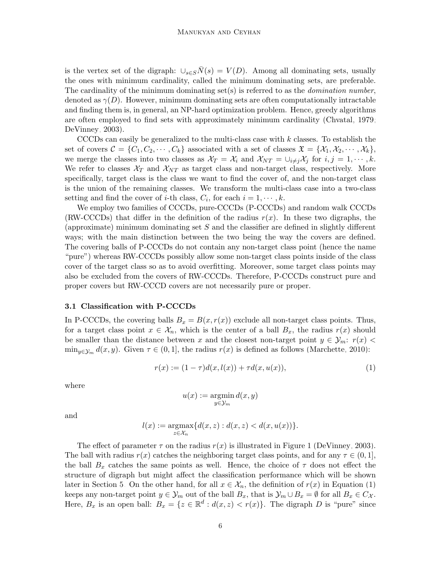is the vertex set of the digraph:  $\cup_{s\in S} \bar{N}(s) = V(D)$ . Among all dominating sets, usually the ones with minimum cardinality, called the minimum dominating sets, are preferable. The cardinality of the minimum dominating set(s) is referred to as the *domination number*, denoted as  $\gamma(D)$ . However, minimum dominating sets are often computationally intractable and finding them is, in general, an NP-hard optimization problem. Hence, greedy algorithms are often employed to find sets with approximately minimum cardinality [\(Chvatal, 1979;](#page-36-8) [DeVinney, 2003\)](#page-36-9).

CCCDs can easily be generalized to the multi-class case with  $k$  classes. To establish the set of covers  $\mathcal{C} = \{C_1, C_2, \cdots, C_k\}$  associated with a set of classes  $\mathfrak{X} = \{X_1, X_2, \cdots, X_k\},\$ we merge the classes into two classes as  $\mathcal{X}_T = \mathcal{X}_i$  and  $\mathcal{X}_{NT} = \bigcup_{i \neq j} \mathcal{X}_j$  for  $i, j = 1, \cdots, k$ . We refer to classes  $\mathcal{X}_T$  and  $\mathcal{X}_{NT}$  as target class and non-target class, respectively. More specifically, target class is the class we want to find the cover of, and the non-target class is the union of the remaining classes. We transform the multi-class case into a two-class setting and find the cover of *i*-th class,  $C_i$ , for each  $i = 1, \dots, k$ .

We employ two families of CCCDs, pure-CCCDs (P-CCCDs) and random walk CCCDs (RW-CCCDs) that differ in the definition of the radius  $r(x)$ . In these two digraphs, the (approximate) minimum dominating set  $S$  and the classifier are defined in slightly different ways; with the main distinction between the two being the way the covers are defined. The covering balls of P-CCCDs do not contain any non-target class point (hence the name "pure") whereas RW-CCCDs possibly allow some non-target class points inside of the class cover of the target class so as to avoid overfitting. Moreover, some target class points may also be excluded from the covers of RW-CCCDs. Therefore, P-CCCDs construct pure and proper covers but RW-CCCD covers are not necessarily pure or proper.

#### 3.1 Classification with P-CCCDs

In P-CCCDs, the covering balls  $B_x = B(x, r(x))$  exclude all non-target class points. Thus, for a target class point  $x \in \mathcal{X}_n$ , which is the center of a ball  $B_x$ , the radius  $r(x)$  should be smaller than the distance between x and the closest non-target point  $y \in \mathcal{Y}_m$ :  $r(x)$  $\min_{y \in \mathcal{Y}_m} d(x, y)$ . Given  $\tau \in (0, 1]$ , the radius  $r(x)$  is defined as follows [\(Marchette, 2010\)](#page-38-10):

<span id="page-5-0"></span>
$$
r(x) := (1 - \tau)d(x, l(x)) + \tau d(x, u(x)),
$$
\n(1)

where

$$
u(x) := \operatornamewithlimits{argmin}_{y \in \mathcal{Y}_m} d(x, y)
$$

and

$$
l(x) := \underset{z \in \mathcal{X}_n}{\text{argmax}} \{ d(x, z) : d(x, z) < d(x, u(x)) \}.
$$

The effect of parameter  $\tau$  on the radius  $r(x)$  is illustrated in Figure [1](#page-6-0) [\(DeVinney, 2003\)](#page-36-9). The ball with radius  $r(x)$  catches the neighboring target class points, and for any  $\tau \in (0,1]$ , the ball  $B_x$  catches the same points as well. Hence, the choice of  $\tau$  does not effect the structure of digraph but might affect the classification performance which will be shown later in Section [5.](#page-13-0) On the other hand, for all  $x \in \mathcal{X}_n$ , the definition of  $r(x)$  in Equation [\(1\)](#page-5-0) keeps any non-target point  $y \in \mathcal{Y}_m$  out of the ball  $B_x$ , that is  $\mathcal{Y}_m \cup B_x = \emptyset$  for all  $B_x \in C_{\mathcal{X}}$ . Here,  $B_x$  is an open ball:  $B_x = \{z \in \mathbb{R}^d : d(x, z) < r(x)\}\.$  The digraph D is "pure" since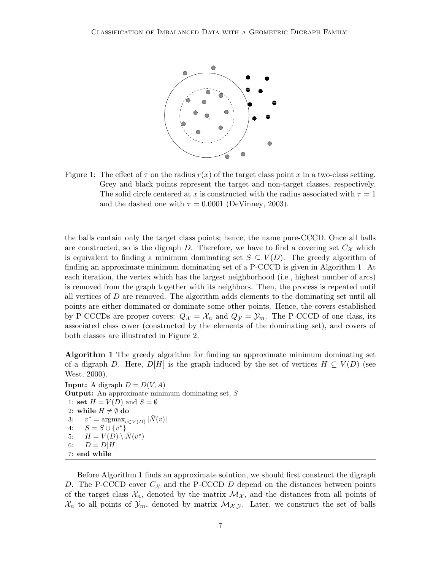

<span id="page-6-0"></span>Figure 1: The effect of  $\tau$  on the radius  $r(x)$  of the target class point x in a two-class setting. Grey and black points represent the target and non-target classes, respectively. The solid circle centered at x is constructed with the radius associated with  $\tau = 1$ and the dashed one with  $\tau = 0.0001$  [\(DeVinney, 2003\)](#page-36-9).

the balls contain only the target class points; hence, the name pure-CCCD. Once all balls are constructed, so is the digraph D. Therefore, we have to find a covering set  $C_{\mathcal{X}}$  which is equivalent to finding a minimum dominating set  $S \subseteq V(D)$ . The greedy algorithm of finding an approximate minimum dominating set of a P-CCCD is given in Algorithm [1.](#page-6-1) At each iteration, the vertex which has the largest neighborhood (i.e., highest number of arcs) is removed from the graph together with its neighbors. Then, the process is repeated until all vertices of  $D$  are removed. The algorithm adds elements to the dominating set until all points are either dominated or dominate some other points. Hence, the covers established by P-CCCDs are proper covers:  $Q_{\mathcal{X}} = \mathcal{X}_n$  and  $Q_{\mathcal{Y}} = \mathcal{Y}_m$ . The P-CCCD of one class, its associated class cover (constructed by the elements of the dominating set), and covers of both classes are illustrated in Figure [2.](#page-8-0)

<span id="page-6-1"></span>Algorithm 1 The greedy algorithm for finding an approximate minimum dominating set of a digraph D. Here,  $D[H]$  is the graph induced by the set of vertices  $H \subseteq V(D)$  (see [West, 2000\)](#page-39-10).

**Input:** A digraph  $D = D(V, A)$ Output: An approximate minimum dominating set, S 1: set  $H = V(D)$  and  $S = \emptyset$ 2: while  $H \neq \emptyset$  do 3:  $v^* = \arg \max_{v \in V(D)} |\bar{N}(v)|$ 4:  $S = S \cup \{v^*\}$ 5:  $H = V(D) \setminus N(v^*)$ 6:  $D = D[H]$ 7: end while

Before Algorithm [1](#page-6-1) finds an approximate solution, we should first construct the digraph D. The P-CCCD cover  $C_{\mathcal{X}}$  and the P-CCCD D depend on the distances between points of the target class  $\mathcal{X}_n$ , denoted by the matrix  $\mathcal{M}_{\mathcal{X}}$ , and the distances from all points of  $\mathcal{X}_n$  to all points of  $\mathcal{Y}_m$ , denoted by matrix  $\mathcal{M}_{\mathcal{X},\mathcal{Y}}$ . Later, we construct the set of balls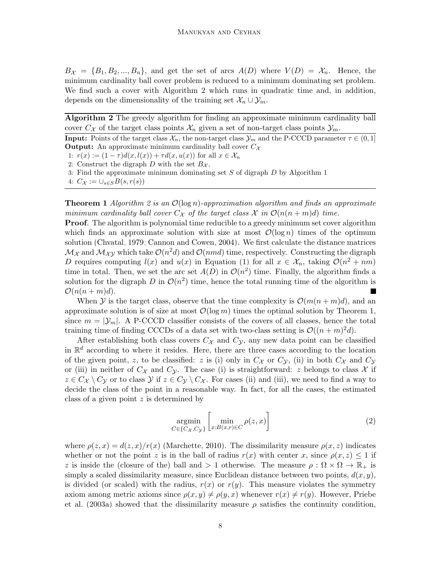$B_{\mathcal{X}} = \{B_1, B_2, ..., B_n\}$ , and get the set of arcs  $A(D)$  where  $V(D) = \mathcal{X}_n$ . Hence, the minimum cardinality ball cover problem is reduced to a minimum dominating set problem. We find such a cover with Algorithm [2](#page-7-0) which runs in quadratic time and, in addition, depends on the dimensionality of the training set  $\mathcal{X}_n \cup \mathcal{Y}_m$ .

<span id="page-7-0"></span>Algorithm 2 The greedy algorithm for finding an approximate minimum cardinality ball cover  $C_{\mathcal{X}}$  of the target class points  $\mathcal{X}_n$  given a set of non-target class points  $\mathcal{Y}_m$ .

**Input:** Points of the target class  $\mathcal{X}_n$ , the non-target class  $\mathcal{Y}_m$  and the P-CCCD parameter  $\tau \in (0, 1]$ **Output:** An approximate minimum cardinality ball cover  $C_{\mathcal{X}}$ 

1:  $r(x) := (1 - \tau)d(x, l(x)) + \tau d(x, u(x))$  for all  $x \in \mathcal{X}_n$ 

2: Construct the digraph D with the set  $B_{\mathcal{X}}$ .

3: Find the approximate minimum dominating set S of digraph D by Algorithm [1.](#page-6-1)

4:  $C_{\mathcal{X}} := \cup_{s \in S} B(s, r(s))$ 

**Theorem 1** Algorithm [2](#page-7-0) is an  $\mathcal{O}(\log n)$ -approximation algorithm and finds an approximate minimum cardinality ball cover  $C_{\mathcal{X}}$  of the target class  $\mathcal{X}$  in  $\mathcal{O}(n(n+m)d)$  time.

**Proof.** The algorithm is polynomial time reducible to a greedy minimum set cover algorithm which finds an approximate solution with size at most  $\mathcal{O}(\log n)$  times of the optimum solution [\(Chvatal, 1979;](#page-36-8) [Cannon and Cowen, 2004\)](#page-35-1). We first calculate the distance matrices  $\mathcal{M}_{\mathcal{X}}$  and  $\mathcal{M}_{\mathcal{X}\mathcal{Y}}$  which take  $\mathcal{O}(n^2d)$  and  $\mathcal{O}(nmd)$  time, respectively. Constructing the digraph D requires computing  $l(x)$  and  $u(x)$  in Equation [\(1\)](#page-5-0) for all  $x \in \mathcal{X}_n$ , taking  $\mathcal{O}(n^2 + nm)$ time in total. Then, we set the arc set  $A(D)$  in  $\mathcal{O}(n^2)$  time. Finally, the algorithm finds a solution for the digraph D in  $\mathcal{O}(n^2)$  time, hence the total running time of the algorithm is  $\mathcal{O}(n(n+m)d).$ 

When Y is the target class, observe that the time complexity is  $\mathcal{O}(m(n+m)d)$ , and an approximate solution is of size at most  $\mathcal{O}(\log m)$  times the optimal solution by Theorem 1, since  $m = |\mathcal{Y}_m|$ . A P-CCCD classifier consists of the covers of all classes, hence the total training time of finding CCCDs of a data set with two-class setting is  $\mathcal{O}((n+m)^2d)$ .

After establishing both class covers  $C_{\mathcal{X}}$  and  $C_{\mathcal{Y}}$ , any new data point can be classified in  $\mathbb{R}^d$  according to where it resides. Here, there are three cases according to the location of the given point, z, to be classified: z is (i) only in  $C_{\mathcal{X}}$  or  $C_{\mathcal{Y}}$ , (ii) in both  $C_{\mathcal{X}}$  and  $C_{\mathcal{Y}}$ or (iii) in neither of  $C_{\mathcal{X}}$  and  $C_{\mathcal{Y}}$ . The case (i) is straightforward: z belongs to class  $\mathcal{X}$  if  $z \in C_{\mathcal{X}} \setminus C_{\mathcal{Y}}$  or to class  $\mathcal{Y}$  if  $z \in C_{\mathcal{Y}} \setminus C_{\mathcal{X}}$ . For cases (ii) and (iii), we need to find a way to decide the class of the point in a reasonable way. In fact, for all the cases, the estimated class of a given point z is determined by

<span id="page-7-1"></span>
$$
\underset{C \in \{C_{\mathcal{X}}, C_{\mathcal{Y}}\}}{\operatorname{argmin}} \left[ \underset{x: B(x,r) \in C}{\operatorname{min}} \rho(z, x) \right] \tag{2}
$$

where  $\rho(z, x) = d(z, x)/r(x)$  [\(Marchette, 2010\)](#page-38-10). The dissimilarity measure  $\rho(x, z)$  indicates whether or not the point z is in the ball of radius  $r(x)$  with center x, since  $\rho(x, z) \leq 1$  if z is inside the (closure of the) ball and  $> 1$  otherwise. The measure  $\rho : \Omega \times \Omega \to \mathbb{R}_+$  is simply a scaled dissimilarity measure, since Euclidean distance between two points,  $d(x, y)$ , is divided (or scaled) with the radius,  $r(x)$  or  $r(y)$ . This measure violates the symmetry axiom among metric axioms since  $\rho(x, y) \neq \rho(y, x)$  whenever  $r(x) \neq r(y)$ . However, [Priebe](#page-38-5) [et al.](#page-38-5) [\(2003a\)](#page-38-5) showed that the dissimilarity measure  $\rho$  satisfies the continuity condition,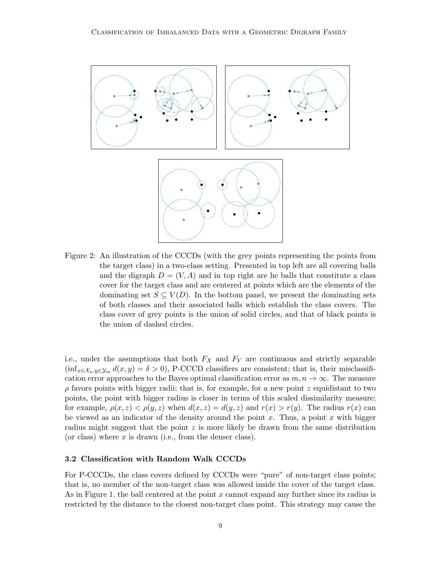

<span id="page-8-0"></span>Figure 2: An illustration of the CCCDs (with the grey points representing the points from the target class) in a two-class setting. Presented in top left are all covering balls and the digraph  $D = (V, A)$  and in top right are he balls that constitute a class cover for the target class and are centered at points which are the elements of the dominating set  $S \subseteq V(D)$ . In the bottom panel, we present the dominating sets of both classes and their associated balls which establish the class covers. The class cover of grey points is the union of solid circles, and that of black points is the union of dashed circles.

i.e., under the assumptions that both  $F_X$  and  $F_Y$  are continuous and strictly separable  $(\inf_{x \in \mathcal{X}_n, y \in \mathcal{Y}_m} d(x, y) = \delta > 0$ , P-CCCD classifiers are consistent; that is, their misclassification error approaches to the Bayes optimal classification error as  $m, n \to \infty$ . The measure  $\rho$  favors points with bigger radii; that is, for example, for a new point z equidistant to two points, the point with bigger radius is closer in terms of this scaled dissimilarity measure; for example,  $\rho(x, z) < \rho(y, z)$  when  $d(x, z) = d(y, z)$  and  $r(x) > r(y)$ . The radius  $r(x)$  can be viewed as an indicator of the density around the point  $x$ . Thus, a point  $x$  with bigger radius might suggest that the point  $z$  is more likely be drawn from the same distribution (or class) where  $x$  is drawn (i.e., from the denser class).

## 3.2 Classification with Random Walk CCCDs

For P-CCCDs, the class covers defined by CCCDs were "pure" of non-target class points; that is, no member of the non-target class was allowed inside the cover of the target class. As in Figure [1,](#page-6-0) the ball centered at the point x cannot expand any further since its radius is restricted by the distance to the closest non-target class point. This strategy may cause the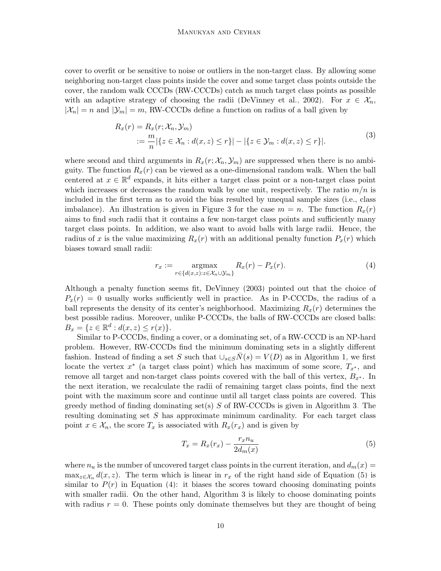cover to overfit or be sensitive to noise or outliers in the non-target class. By allowing some neighboring non-target class points inside the cover and some target class points outside the cover, the random walk CCCDs (RW-CCCDs) catch as much target class points as possible with an adaptive strategy of choosing the radii [\(DeVinney et al., 2002\)](#page-36-3). For  $x \in \mathcal{X}_n$ ,  $|\mathcal{X}_n| = n$  and  $|\mathcal{Y}_m| = m$ , RW-CCCDs define a function on radius of a ball given by

$$
R_x(r) = R_x(r; \mathcal{X}_n, \mathcal{Y}_m)
$$
  
 :=  $\frac{m}{n} |\{ z \in \mathcal{X}_n : d(x, z) \le r \}| - |\{ z \in \mathcal{Y}_m : d(x, z) \le r \}|.$  (3)

where second and third arguments in  $R_x(r; \mathcal{X}_n, \mathcal{Y}_m)$  are suppressed when there is no ambiguity. The function  $R_x(r)$  can be viewed as a one-dimensional random walk. When the ball centered at  $x \in \mathbb{R}^d$  expands, it hits either a target class point or a non-target class point which increases or decreases the random walk by one unit, respectively. The ratio  $m/n$  is included in the first term as to avoid the bias resulted by unequal sample sizes (i.e., class imbalance). An illustration is given in Figure [3](#page-10-0) for the case  $m = n$ . The function  $R_x(r)$ aims to find such radii that it contains a few non-target class points and sufficiently many target class points. In addition, we also want to avoid balls with large radii. Hence, the radius of x is the value maximizing  $R_x(r)$  with an additional penalty function  $P_x(r)$  which biases toward small radii:

<span id="page-9-1"></span>
$$
r_x := \underset{r \in \{d(x,z): z \in \mathcal{X}_n \cup \mathcal{Y}_m\}}{\operatorname{argmax}} R_x(r) - P_x(r). \tag{4}
$$

Although a penalty function seems fit, [DeVinney](#page-36-9) [\(2003\)](#page-36-9) pointed out that the choice of  $P_r(r) = 0$  usually works sufficiently well in practice. As in P-CCCDs, the radius of a ball represents the density of its center's neighborhood. Maximizing  $R_x(r)$  determines the best possible radius. Moreover, unlike P-CCCDs, the balls of RW-CCCDs are closed balls:  $B_x = \{ z \in \mathbb{R}^d : d(x, z) \le r(x) \}.$ 

Similar to P-CCCDs, finding a cover, or a dominating set, of a RW-CCCD is an NP-hard problem. However, RW-CCCDs find the minimum dominating sets in a slightly different fashion. Instead of finding a set S such that  $\bigcup_{s\in S} \overline{N}(s) = V(D)$  as in Algorithm [1,](#page-6-1) we first locate the vertex  $x^*$  (a target class point) which has maximum of some score,  $T_{x^*}$ , and remove all target and non-target class points covered with the ball of this vertex,  $B_{x^*}$ . In the next iteration, we recalculate the radii of remaining target class points, find the next point with the maximum score and continue until all target class points are covered. This greedy method of finding dominating set(s)  $S$  of RW-CCCDs is given in Algorithm [3.](#page-10-1) The resulting dominating set  $S$  has approximate minimum cardinality. For each target class point  $x \in \mathcal{X}_n$ , the score  $T_x$  is associated with  $R_x(r_x)$  and is given by

<span id="page-9-0"></span>
$$
T_x = R_x(r_x) - \frac{r_x n_u}{2d_m(x)}
$$
\n<sup>(5)</sup>

where  $n_u$  is the number of uncovered target class points in the current iteration, and  $d_m(x) =$  $\max_{z \in \mathcal{X}_n} d(x, z)$ . The term which is linear in  $r_x$  of the right hand side of Equation [\(5\)](#page-9-0) is similar to  $P(r)$  in Equation [\(4\)](#page-9-1): it biases the scores toward choosing dominating points with smaller radii. On the other hand, Algorithm [3](#page-10-1) is likely to choose dominating points with radius  $r = 0$ . These points only dominate themselves but they are thought of being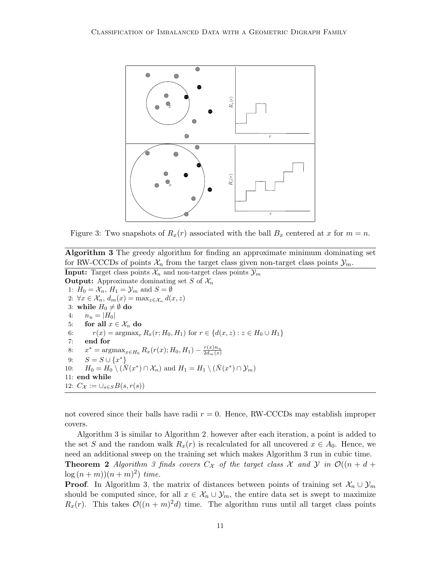

<span id="page-10-0"></span>Figure 3: Two snapshots of  $R_x(r)$  associated with the ball  $B_x$  centered at x for  $m = n$ .

<span id="page-10-1"></span>Algorithm 3 The greedy algorithm for finding an approximate minimum dominating set for RW-CCCDs of points  $\mathcal{X}_n$  from the target class given non-target class points  $\mathcal{Y}_m$ .

**Input:** Target class points  $\mathcal{X}_n$  and non-target class points  $\mathcal{Y}_m$ **Output:** Approximate dominating set S of  $\mathcal{X}_n$ 1:  $H_0 = \mathcal{X}_n$ ,  $H_1 = \mathcal{Y}_m$  and  $S = \emptyset$ 2:  $\forall x \in \mathcal{X}_n, d_m(x) = \max_{z \in \mathcal{X}_n} d(x, z)$ 3: while  $H_0 \neq \emptyset$  do 4:  $n_u = |H_0|$ 5: for all  $x \in \mathcal{X}_n$  do 6:  $r(x) = \argmax_r R_x(r; H_0, H_1)$  for  $r \in \{d(x, z) : z \in H_0 \cup H_1\}$ 7: end for 8:  $x^* = \operatorname{argmax}_{x \in H_0} R_x(r(x); H_0, H_1) - \frac{r(x)n_u}{2d_m(x)}$  $2d_m(x)$ 9:  $S = S \cup \{x^*\}$ 10:  $H_0 = H_0 \setminus (\overline{N}(x^*) \cap \mathcal{X}_n)$  and  $H_1 = H_1 \setminus (\overline{N}(x^*) \cap \mathcal{Y}_m)$ 11: end while 12:  $C_{\mathcal{X}} := \cup_{s \in S} B(s, r(s))$ 

not covered since their balls have radii  $r = 0$ . Hence, RW-CCCDs may establish improper covers.

Algorithm [3](#page-10-1) is similar to Algorithm [2,](#page-7-0) however after each iteration, a point is added to the set S and the random walk  $R_x(r)$  is recalculated for all uncovered  $x \in A_0$ . Hence, we need an additional sweep on the training set which makes Algorithm [3](#page-10-1) run in cubic time.

**Theorem 2** Algorithm [3](#page-10-1) finds covers  $C_{\mathcal{X}}$  of the target class  $\mathcal{X}$  and  $\mathcal{Y}$  in  $\mathcal{O}((n+d+d))$  $\log (n + m)$  $(n + m)^2$  time.

**Proof.** In Algorithm [3,](#page-10-1) the matrix of distances between points of training set  $\mathcal{X}_n \cup \mathcal{Y}_m$ should be computed since, for all  $x \in \mathcal{X}_n \cup \mathcal{Y}_m$ , the entire data set is swept to maximize  $R_x(r)$ . This takes  $\mathcal{O}((n+m)^2d)$  time. The algorithm runs until all target class points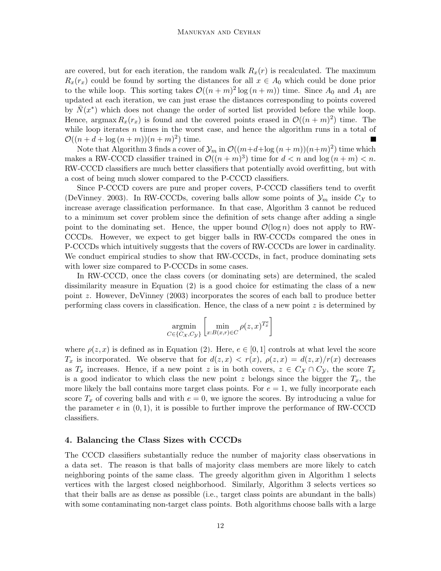are covered, but for each iteration, the random walk  $R_x(r)$  is recalculated. The maximum  $R_x(r_x)$  could be found by sorting the distances for all  $x \in A_0$  which could be done prior to the while loop. This sorting takes  $\mathcal{O}((n+m)^2 \log(n+m))$  time. Since  $A_0$  and  $A_1$  are updated at each iteration, we can just erase the distances corresponding to points covered by  $\bar{N}(x^*)$  which does not change the order of sorted list provided before the while loop. Hence, argmax  $R_x(r_x)$  is found and the covered points erased in  $\mathcal{O}((n+m)^2)$  time. The while loop iterates  $n$  times in the worst case, and hence the algorithm runs in a total of  $\mathcal{O}((n+d+\log{(n+m)})(n+m)^2)$  time.

Note that Algorithm [3](#page-10-1) finds a cover of  $\mathcal{Y}_m$  in  $\mathcal{O}((m+d+\log{(n+m)})(n+m)^2)$  time which makes a RW-CCCD classifier trained in  $\mathcal{O}((n+m)^3)$  time for  $d < n$  and  $\log(n+m) < n$ . RW-CCCD classifiers are much better classifiers that potentially avoid overfitting, but with a cost of being much slower compared to the P-CCCD classifiers.

Since P-CCCD covers are pure and proper covers, P-CCCD classifiers tend to overfit [\(DeVinney, 2003\)](#page-36-9). In RW-CCCDs, covering balls allow some points of  $\mathcal{Y}_m$  inside  $C_{\mathcal{X}}$  to increase average classification performance. In that case, Algorithm [3](#page-10-1) cannot be reduced to a minimum set cover problem since the definition of sets change after adding a single point to the dominating set. Hence, the upper bound  $\mathcal{O}(\log n)$  does not apply to RW-CCCDs. However, we expect to get bigger balls in RW-CCCDs compared the ones in P-CCCDs which intuitively suggests that the covers of RW-CCCDs are lower in cardinality. We conduct empirical studies to show that RW-CCCDs, in fact, produce dominating sets with lower size compared to P-CCCDs in some cases.

In RW-CCCD, once the class covers (or dominating sets) are determined, the scaled dissimilarity measure in Equation [\(2\)](#page-7-1) is a good choice for estimating the class of a new point z. However, [DeVinney](#page-36-9) [\(2003\)](#page-36-9) incorporates the scores of each ball to produce better performing class covers in classification. Hence, the class of a new point  $z$  is determined by

$$
\underset{C \in \{C_{\mathcal{X}}, C_{\mathcal{Y}}\}}{\operatorname{argmin}} \left[ \underset{x: B(x,r) \in C}{\operatorname{min}} \rho(z, x)^{T_x^e} \right]
$$

where  $\rho(z, x)$  is defined as in Equation [\(2\)](#page-7-1). Here,  $e \in [0, 1]$  controls at what level the score  $T_x$  is incorporated. We observe that for  $d(z, x) < r(x)$ ,  $\rho(z, x) = d(z, x)/r(x)$  decreases as  $T_x$  increases. Hence, if a new point z is in both covers,  $z \in C_x \cap C_y$ , the score  $T_x$ is a good indicator to which class the new point z belongs since the bigger the  $T_x$ , the more likely the ball contains more target class points. For  $e = 1$ , we fully incorporate each score  $T_x$  of covering balls and with  $e = 0$ , we ignore the scores. By introducing a value for the parameter  $e$  in  $(0, 1)$ , it is possible to further improve the performance of RW-CCCD classifiers.

## <span id="page-11-0"></span>4. Balancing the Class Sizes with CCCDs

The CCCD classifiers substantially reduce the number of majority class observations in a data set. The reason is that balls of majority class members are more likely to catch neighboring points of the same class. The greedy algorithm given in Algorithm [1](#page-6-1) selects vertices with the largest closed neighborhood. Similarly, Algorithm [3](#page-10-1) selects vertices so that their balls are as dense as possible (i.e., target class points are abundant in the balls) with some contaminating non-target class points. Both algorithms choose balls with a large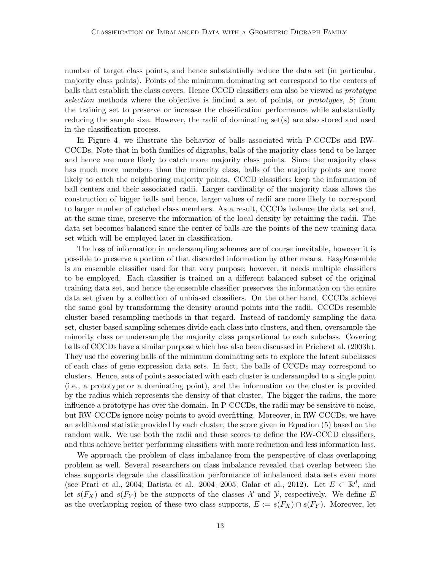number of target class points, and hence substantially reduce the data set (in particular, majority class points). Points of the minimum dominating set correspond to the centers of balls that establish the class covers. Hence CCCD classifiers can also be viewed as prototype selection methods where the objective is findind a set of points, or prototypes, S; from the training set to preserve or increase the classification performance while substantially reducing the sample size. However, the radii of dominating  $set(s)$  are also stored and used in the classification process.

In Figure [4,](#page-13-1) we illustrate the behavior of balls associated with P-CCCDs and RW-CCCDs. Note that in both families of digraphs, balls of the majority class tend to be larger and hence are more likely to catch more majority class points. Since the majority class has much more members than the minority class, balls of the majority points are more likely to catch the neighboring majority points. CCCD classifiers keep the information of ball centers and their associated radii. Larger cardinality of the majority class allows the construction of bigger balls and hence, larger values of radii are more likely to correspond to larger number of catched class members. As a result, CCCDs balance the data set and, at the same time, preserve the information of the local density by retaining the radii. The data set becomes balanced since the center of balls are the points of the new training data set which will be employed later in classification.

The loss of information in undersampling schemes are of course inevitable, however it is possible to preserve a portion of that discarded information by other means. EasyEnsemble is an ensemble classifier used for that very purpose; however, it needs multiple classifiers to be employed. Each classifier is trained on a different balanced subset of the original training data set, and hence the ensemble classifier preserves the information on the entire data set given by a collection of unbiased classifiers. On the other hand, CCCDs achieve the same goal by transforming the density around points into the radii. CCCDs resemble cluster based resampling methods in that regard. Instead of randomly sampling the data set, cluster based sampling schemes divide each class into clusters, and then, oversample the minority class or undersample the majority class proportional to each subclass. Covering balls of CCCDs have a similar purpose which has also been discussed in [Priebe et al.](#page-38-6) [\(2003b\)](#page-38-6). They use the covering balls of the minimum dominating sets to explore the latent subclasses of each class of gene expression data sets. In fact, the balls of CCCDs may correspond to clusters. Hence, sets of points associated with each cluster is undersampled to a single point (i.e., a prototype or a dominating point), and the information on the cluster is provided by the radius which represents the density of that cluster. The bigger the radius, the more influence a prototype has over the domain. In P-CCCDs, the radii may be sensitive to noise, but RW-CCCDs ignore noisy points to avoid overfitting. Moreover, in RW-CCCDs, we have an additional statistic provided by each cluster, the score given in Equation [\(5\)](#page-9-0) based on the random walk. We use both the radii and these scores to define the RW-CCCD classifiers, and thus achieve better performing classifiers with more reduction and less information loss.

We approach the problem of class imbalance from the perspective of class overlapping problem as well. Several researchers on class imbalance revealed that overlap between the class supports degrade the classification performance of imbalanced data sets even more (see [Prati et al., 2004;](#page-38-11) [Batista et al., 2004,](#page-35-3) [2005;](#page-35-6) [Galar et al., 2012\)](#page-37-8). Let  $E \subset \mathbb{R}^d$ , and let  $s(F_X)$  and  $s(F_Y)$  be the supports of the classes X and Y, respectively. We define E as the overlapping region of these two class supports,  $E := s(F_X) \cap s(F_Y)$ . Moreover, let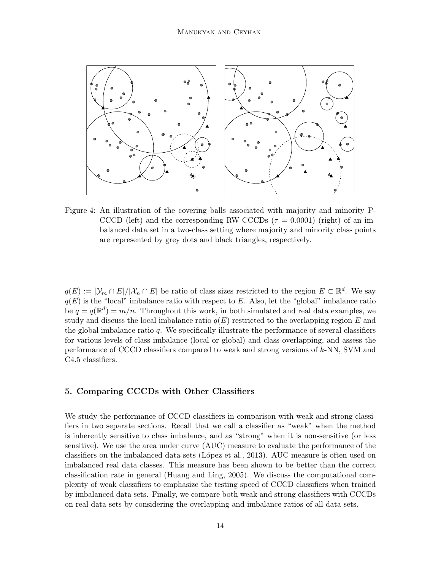

<span id="page-13-1"></span>Figure 4: An illustration of the covering balls associated with majority and minority P-CCCD (left) and the corresponding RW-CCCDs ( $\tau = 0.0001$ ) (right) of an imbalanced data set in a two-class setting where majority and minority class points are represented by grey dots and black triangles, respectively.

 $q(E) := |\mathcal{Y}_m \cap E| / |\mathcal{X}_n \cap E|$  be ratio of class sizes restricted to the region  $E \subset \mathbb{R}^d$ . We say  $q(E)$  is the "local" imbalance ratio with respect to E. Also, let the "global" imbalance ratio be  $q = q(\mathbb{R}^d) = m/n$ . Throughout this work, in both simulated and real data examples, we study and discuss the local imbalance ratio  $q(E)$  restricted to the overlapping region E and the global imbalance ratio  $q$ . We specifically illustrate the performance of several classifiers for various levels of class imbalance (local or global) and class overlapping, and assess the performance of CCCD classifiers compared to weak and strong versions of k-NN, SVM and C4.5 classifiers.

## <span id="page-13-0"></span>5. Comparing CCCDs with Other Classifiers

We study the performance of CCCD classifiers in comparison with weak and strong classifiers in two separate sections. Recall that we call a classifier as "weak" when the method is inherently sensitive to class imbalance, and as "strong" when it is non-sensitive (or less sensitive). We use the area under curve (AUC) measure to evaluate the performance of the classifiers on the imbalanced data sets (López et al., 2013). AUC measure is often used on imbalanced real data classes. This measure has been shown to be better than the correct classification rate in general [\(Huang and Ling, 2005\)](#page-37-10). We discuss the computational complexity of weak classifiers to emphasize the testing speed of CCCD classifiers when trained by imbalanced data sets. Finally, we compare both weak and strong classifiers with CCCDs on real data sets by considering the overlapping and imbalance ratios of all data sets.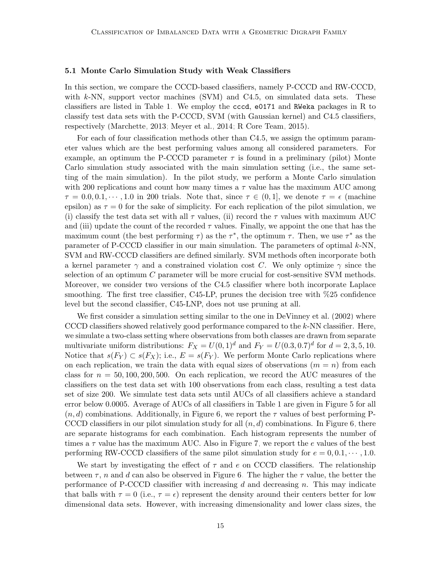## <span id="page-14-0"></span>5.1 Monte Carlo Simulation Study with Weak Classifiers

In this section, we compare the CCCD-based classifiers, namely P-CCCD and RW-CCCD, with  $k\text{-NN}$ , support vector machines (SVM) and C4.5, on simulated data sets. These classifiers are listed in Table [1.](#page-15-0) We employ the cccd, e0171 and RWeka packages in R to classify test data sets with the P-CCCD, SVM (with Gaussian kernel) and C4.5 classifiers, respectively [\(Marchette, 2013;](#page-38-12) [Meyer et al., 2014;](#page-38-13) [R Core Team, 2015\)](#page-39-11).

For each of four classification methods other than C4.5, we assign the optimum parameter values which are the best performing values among all considered parameters. For example, an optimum the P-CCCD parameter  $\tau$  is found in a preliminary (pilot) Monte Carlo simulation study associated with the main simulation setting (i.e., the same setting of the main simulation). In the pilot study, we perform a Monte Carlo simulation with 200 replications and count how many times a  $\tau$  value has the maximum AUC among  $\tau = 0.0, 0.1, \dots, 1.0$  in 200 trials. Note that, since  $\tau \in (0, 1]$ , we denote  $\tau = \epsilon$  (machine epsilon) as  $\tau = 0$  for the sake of simplicity. For each replication of the pilot simulation, we (i) classify the test data set with all  $\tau$  values, (ii) record the  $\tau$  values with maximum AUC and (iii) update the count of the recorded  $\tau$  values. Finally, we appoint the one that has the maximum count (the best performing  $\tau$ ) as the  $\tau^*$ , the optimum  $\tau$ . Then, we use  $\tau^*$  as the parameter of P-CCCD classifier in our main simulation. The parameters of optimal  $k$ -NN, SVM and RW-CCCD classifiers are defined similarly. SVM methods often incorporate both a kernel parameter  $\gamma$  and a constrained violation cost C. We only optimize  $\gamma$  since the selection of an optimum  $C$  parameter will be more crucial for cost-sensitive SVM methods. Moreover, we consider two versions of the C4.5 classifier where both incorporate Laplace smoothing. The first tree classifier, C45-LP, prunes the decision tree with %25 confidence level but the second classifier, C45-LNP, does not use pruning at all.

We first consider a simulation setting similar to the one in [DeVinney et al.](#page-36-3) [\(2002\)](#page-36-3) where CCCD classifiers showed relatively good performance compared to the  $k$ -NN classifier. Here, we simulate a two-class setting where observations from both classes are drawn from separate multivariate uniform distributions:  $F_X = U(0, 1)^d$  and  $F_Y = U(0.3, 0.7)^d$  for  $d = 2, 3, 5, 10$ . Notice that  $s(F_Y) \subset s(F_X)$ ; i.e.,  $E = s(F_Y)$ . We perform Monte Carlo replications where on each replication, we train the data with equal sizes of observations  $(m = n)$  from each class for  $n = 50, 100, 200, 500$ . On each replication, we record the AUC measures of the classifiers on the test data set with 100 observations from each class, resulting a test data set of size 200. We simulate test data sets until AUCs of all classifiers achieve a standard error below 0.0005. Average of AUCs of all classifiers in Table [1](#page-15-0) are given in Figure [5](#page-15-1) for all  $(n, d)$  combinations. Additionally, in Figure [6,](#page-16-0) we report the  $\tau$  values of best performing P-CCCD classifiers in our pilot simulation study for all  $(n, d)$  combinations. In Figure [6,](#page-16-0) there are separate histograms for each combination. Each histogram represents the number of times a  $\tau$  value has the maximum AUC. Also in Figure [7,](#page-17-0) we report the e values of the best performing RW-CCCD classifiers of the same pilot simulation study for  $e = 0, 0.1, \dots, 1.0$ .

We start by investigating the effect of  $\tau$  and  $e$  on CCCD classifiers. The relationship between  $\tau$ , n and d can also be observed in Figure [6.](#page-16-0) The higher the  $\tau$  value, the better the performance of P-CCCD classifier with increasing d and decreasing n. This may indicate that balls with  $\tau = 0$  (i.e.,  $\tau = \epsilon$ ) represent the density around their centers better for low dimensional data sets. However, with increasing dimensionality and lower class sizes, the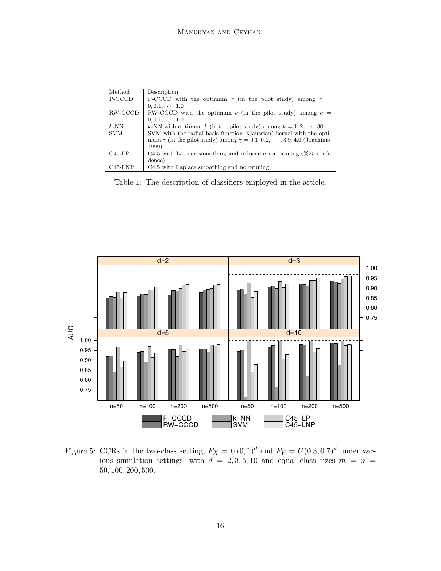| Method     | Description                                                                              |
|------------|------------------------------------------------------------------------------------------|
| P-CCCD     | P-CCCD with the optimum $\tau$ (in the pilot study) among $\tau =$                       |
|            | $0, 0.1, \cdots, 1.0$                                                                    |
| RW-CCCD    | RW-CCCD with the optimum e (in the pilot study) among $e =$                              |
|            | $0, 0.1, \cdots, 1.0$                                                                    |
| $k$ -NN    | k-NN with optimum k (in the pilot study) among $k = 1, 2, \dots, 30$                     |
| <b>SVM</b> | SVM with the radial basis function (Gaussian) kernel with the opti-                      |
|            | mum $\gamma$ (in the pilot study) among $\gamma = 0.1, 0.2, \cdots, 3.9, 4.0$ (Joachims, |
|            | 1999)                                                                                    |
| $C45-LP$   | $C4.5$ with Laplace smoothing and reduced error pruning (%25 confi-                      |
|            | dence)                                                                                   |
| $C45$ -LNP | C4.5 with Laplace smoothing and no pruning                                               |

<span id="page-15-0"></span>Table 1: The description of classifiers employed in the article.



<span id="page-15-1"></span>Figure 5: CCRs in the two-class setting,  $F_X = U(0, 1)^d$  and  $F_Y = U(0.3, 0.7)^d$  under various simulation settings, with  $d = 2, 3, 5, 10$  and equal class sizes  $m = n$ 50, 100, 200, 500.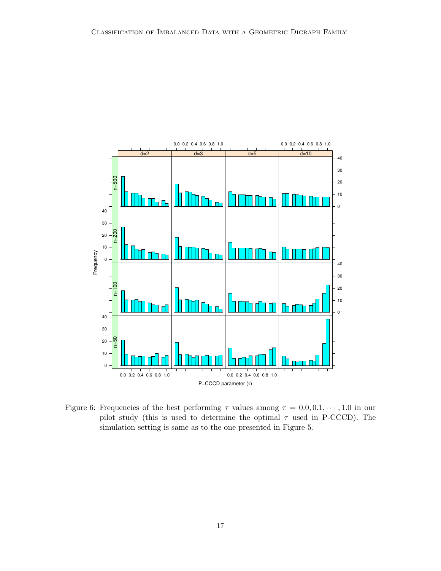

<span id="page-16-0"></span>Figure 6: Frequencies of the best performing  $\tau$  values among  $\tau = 0.0, 0.1, \dots, 1.0$  in our pilot study (this is used to determine the optimal  $\tau$  used in P-CCCD). The simulation setting is same as to the one presented in Figure [5.](#page-15-1)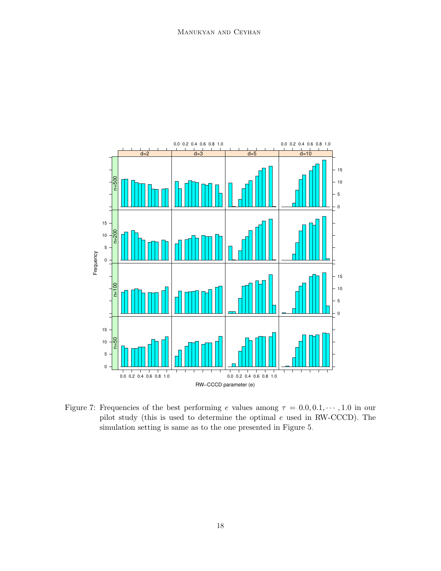

<span id="page-17-0"></span>Figure 7: Frequencies of the best performing e values among  $\tau = 0.0, 0.1, \dots, 1.0$  in our pilot study (this is used to determine the optimal e used in RW-CCCD). The simulation setting is same as to the one presented in Figure [5.](#page-15-1)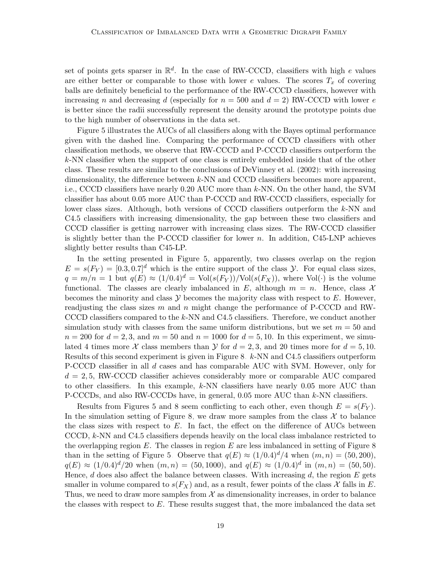set of points gets sparser in  $\mathbb{R}^d$ . In the case of RW-CCCD, classifiers with high e values are either better or comparable to those with lower e values. The scores  $T_x$  of covering balls are definitely beneficial to the performance of the RW-CCCD classifiers, however with increasing n and decreasing d (especially for  $n = 500$  and  $d = 2$ ) RW-CCCD with lower e is better since the radii successfully represent the density around the prototype points due to the high number of observations in the data set.

Figure [5](#page-15-1) illustrates the AUCs of all classifiers along with the Bayes optimal performance given with the dashed line. Comparing the performance of CCCD classifiers with other classification methods, we observe that RW-CCCD and P-CCCD classifiers outperform the k-NN classifier when the support of one class is entirely embedded inside that of the other class. These results are similar to the conclusions of [DeVinney et al.](#page-36-3) [\(2002\)](#page-36-3): with increasing dimensionality, the difference between k-NN and CCCD classifiers becomes more apparent, i.e., CCCD classifiers have nearly 0.20 AUC more than k-NN. On the other hand, the SVM classifier has about 0.05 more AUC than P-CCCD and RW-CCCD classifiers, especially for lower class sizes. Although, both versions of CCCD classifiers outperform the  $k$ -NN and C4.5 classifiers with increasing dimensionality, the gap between these two classifiers and CCCD classifier is getting narrower with increasing class sizes. The RW-CCCD classifier is slightly better than the P-CCCD classifier for lower  $n$ . In addition, C45-LNP achieves slightly better results than C45-LP.

In the setting presented in Figure [5,](#page-15-1) apparently, two classes overlap on the region  $E = s(F_Y) = [0.3, 0.7]^d$  which is the entire support of the class Y. For equal class sizes,  $q = m/n = 1$  but  $q(E) \approx (1/0.4)^d = Vol(s(F_Y))/Vol(s(F_X))$ , where Vol(·) is the volume functional. The classes are clearly imbalanced in E, although  $m = n$ . Hence, class X becomes the minority and class  $\mathcal Y$  becomes the majority class with respect to E. However, readjusting the class sizes m and n might change the performance of P-CCCD and RW-CCCD classifiers compared to the k-NN and C4.5 classifiers. Therefore, we conduct another simulation study with classes from the same uniform distributions, but we set  $m = 50$  and  $n = 200$  for  $d = 2, 3$ , and  $m = 50$  and  $n = 1000$  for  $d = 5, 10$ . In this experiment, we simulated 4 times more X class members than  $\mathcal Y$  for  $d = 2, 3$ , and 20 times more for  $d = 5, 10$ . Results of this second experiment is given in Figure [8.](#page-19-0) k-NN and C4.5 classifiers outperform P-CCCD classifier in all d cases and has comparable AUC with SVM. However, only for  $d = 2.5$ , RW-CCCD classifier achieves considerably more or comparable AUC compared to other classifiers. In this example,  $k$ -NN classifiers have nearly 0.05 more AUC than P-CCCDs, and also RW-CCCDs have, in general, 0.05 more AUC than k-NN classifiers.

Results from Figures [5](#page-15-1) and [8](#page-19-0) seem conflicting to each other, even though  $E = s(F_Y)$ . In the simulation setting of Figure [8,](#page-19-0) we draw more samples from the class  $\mathcal X$  to balance the class sizes with respect to  $E$ . In fact, the effect on the difference of AUCs between CCCD, k-NN and C4.5 classifiers depends heavily on the local class imbalance restricted to the overlapping region  $E$ . The classes in region  $E$  are less imbalanced in setting of Figure [8](#page-19-0) than in the setting of Figure [5.](#page-15-1) Observe that  $q(E) \approx (1/0.4)^d/4$  when  $(m, n) = (50, 200)$ ,  $q(E) \approx (1/0.4)^d/20$  when  $(m, n) = (50, 1000)$ , and  $q(E) \approx (1/0.4)^d$  in  $(m, n) = (50, 50)$ . Hence,  $d$  does also affect the balance between classes. With increasing  $d$ , the region  $E$  gets smaller in volume compared to  $s(F_X)$  and, as a result, fewer points of the class X falls in E. Thus, we need to draw more samples from  $\mathcal X$  as dimensionality increases, in order to balance the classes with respect to  $E$ . These results suggest that, the more imbalanced the data set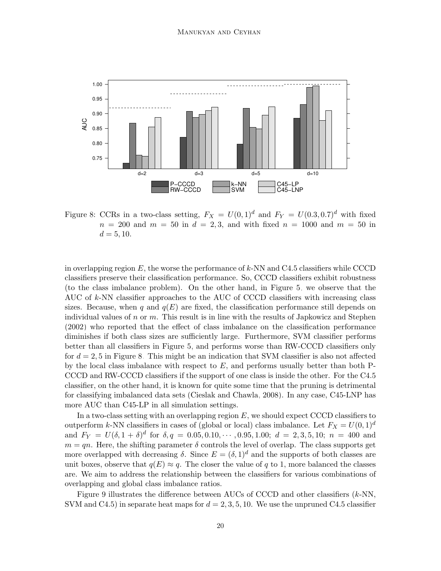

<span id="page-19-0"></span>Figure 8: CCRs in a two-class setting,  $F_X = U(0, 1)^d$  and  $F_Y = U(0.3, 0.7)^d$  with fixed  $n = 200$  and  $m = 50$  in  $d = 2, 3$ , and with fixed  $n = 1000$  and  $m = 50$  in  $d = 5, 10.$ 

in overlapping region  $E$ , the worse the performance of  $k$ -NN and C4.5 classifiers while CCCD classifiers preserve their classification performance. So, CCCD classifiers exhibit robustness (to the class imbalance problem). On the other hand, in Figure [5,](#page-15-1) we observe that the AUC of  $k$ -NN classifier approaches to the AUC of CCCD classifiers with increasing class sizes. Because, when q and  $q(E)$  are fixed, the classification performance still depends on individual values of n or m. This result is in line with the results of [Japkowicz and Stephen](#page-37-0) [\(2002\)](#page-37-0) who reported that the effect of class imbalance on the classification performance diminishes if both class sizes are sufficiently large. Furthermore, SVM classifier performs better than all classifiers in Figure [5,](#page-15-1) and performs worse than RW-CCCD classifiers only for  $d = 2, 5$  in Figure [8.](#page-19-0) This might be an indication that SVM classifier is also not affected by the local class imbalance with respect to  $E$ , and performs usually better than both P-CCCD and RW-CCCD classifiers if the support of one class is inside the other. For the C4.5 classifier, on the other hand, it is known for quite some time that the pruning is detrimental for classifying imbalanced data sets [\(Cieslak and Chawla, 2008\)](#page-36-10). In any case, C45-LNP has more AUC than C45-LP in all simulation settings.

In a two-class setting with an overlapping region  $E$ , we should expect CCCD classifiers to outperform k-NN classifiers in cases of (global or local) class imbalance. Let  $F_X = U(0, 1)<sup>d</sup>$ and  $F_Y = U(\delta, 1 + \delta)^d$  for  $\delta, q = 0.05, 0.10, \cdots, 0.95, 1.00; d = 2, 3, 5, 10; n = 400$  and  $m = qn$ . Here, the shifting parameter  $\delta$  controls the level of overlap. The class supports get more overlapped with decreasing  $\delta$ . Since  $E = (\delta, 1)^d$  and the supports of both classes are unit boxes, observe that  $q(E) \approx q$ . The closer the value of q to 1, more balanced the classes are. We aim to address the relationship between the classifiers for various combinations of overlapping and global class imbalance ratios.

Figure [9](#page-20-0) illustrates the difference between AUCs of CCCD and other classifiers  $(k\text{-}NN,$ SVM and C4.5) in separate heat maps for  $d = 2, 3, 5, 10$ . We use the unpruned C4.5 classifier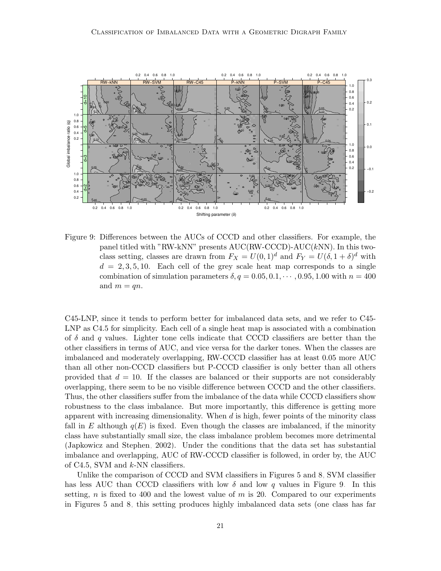

<span id="page-20-0"></span>Figure 9: Differences between the AUCs of CCCD and other classifiers. For example, the panel titled with "RW-kNN" presents AUC(RW-CCCD)-AUC(kNN). In this twoclass setting, classes are drawn from  $F_X = U(0, 1)^d$  and  $F_Y = U(\delta, 1 + \delta)^d$  with  $d = 2, 3, 5, 10$ . Each cell of the grey scale heat map corresponds to a single combination of simulation parameters  $\delta, q = 0.05, 0.1, \cdots, 0.95, 1.00$  with  $n = 400$ and  $m = qn$ .

C45-LNP, since it tends to perform better for imbalanced data sets, and we refer to C45- LNP as C4.5 for simplicity. Each cell of a single heat map is associated with a combination of  $\delta$  and q values. Lighter tone cells indicate that CCCD classifiers are better than the other classifiers in terms of AUC, and vice versa for the darker tones. When the classes are imbalanced and moderately overlapping, RW-CCCD classifier has at least 0.05 more AUC than all other non-CCCD classifiers but P-CCCD classifier is only better than all others provided that  $d = 10$ . If the classes are balanced or their supports are not considerably overlapping, there seem to be no visible difference between CCCD and the other classifiers. Thus, the other classifiers suffer from the imbalance of the data while CCCD classifiers show robustness to the class imbalance. But more importantly, this difference is getting more apparent with increasing dimensionality. When  $d$  is high, fewer points of the minority class fall in E although  $q(E)$  is fixed. Even though the classes are imbalanced, if the minority class have substantially small size, the class imbalance problem becomes more detrimental [\(Japkowicz and Stephen, 2002\)](#page-37-0). Under the conditions that the data set has substantial imbalance and overlapping, AUC of RW-CCCD classifier is followed, in order by, the AUC of C4.5, SVM and  $k$ -NN classifiers.

Unlike the comparison of CCCD and SVM classifiers in Figures [5](#page-15-1) and [8,](#page-19-0) SVM classifier has less AUC than CCCD classifiers with low  $\delta$  and low q values in Figure [9.](#page-20-0) In this setting, n is fixed to 400 and the lowest value of  $m$  is 20. Compared to our experiments in Figures [5](#page-15-1) and [8,](#page-19-0) this setting produces highly imbalanced data sets (one class has far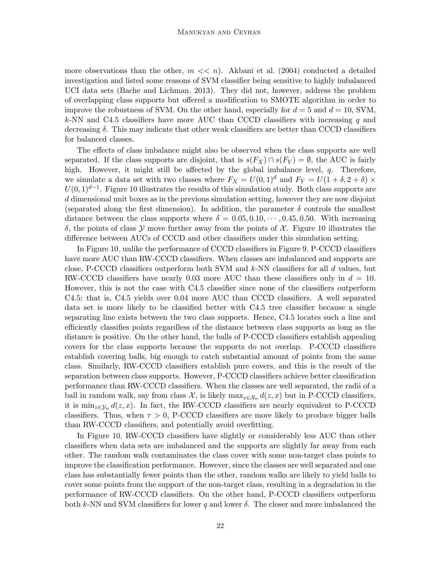more observations than the other,  $m \ll n$ . [Akbani et al.](#page-35-0) [\(2004\)](#page-35-0) conducted a detailed investigation and listed some reasons of SVM classifier being sensitive to highly imbalanced UCI data sets [\(Bache and Lichman, 2013\)](#page-35-7). They did not, however, address the problem of overlapping class supports but offered a modification to SMOTE algorithm in order to improve the robustness of SVM. On the other hand, especially for  $d = 5$  and  $d = 10$ , SVM, k-NN and C4.5 classifiers have more AUC than CCCD classifiers with increasing q and decreasing  $\delta$ . This may indicate that other weak classifiers are better than CCCD classifiers for balanced classes.

The effects of class imbalance might also be observed when the class supports are well separated. If the class supports are disjoint, that is  $s(F_X) \cap s(F_Y) = \emptyset$ , the AUC is fairly high. However, it might still be affected by the global imbalance level, q. Therefore, we simulate a data set with two classes where  $F_X = U(0, 1)^d$  and  $F_Y = U(1 + \delta, 2 + \delta) \times$  $U(0, 1)^{d-1}$ . Figure [10](#page-22-0) illustrates the results of this simulation study. Both class supports are d dimensional unit boxes as in the previous simulation setting, however they are now disjoint (separated along the first dimension). In addition, the parameter  $\delta$  controls the smallest distance between the class supports where  $\delta = 0.05, 0.10, \cdots, 0.45, 0.50$ . With increasing δ, the points of class  $\mathcal Y$  move further away from the points of  $\mathcal X$ . Figure [10](#page-22-0) illustrates the difference between AUCs of CCCD and other classifiers under this simulation setting.

In Figure [10,](#page-22-0) unlike the performance of CCCD classifiers in Figure [9,](#page-20-0) P-CCCD classifiers have more AUC than RW-CCCD classifiers. When classes are imbalanced and supports are close, P-CCCD classifiers outperform both SVM and  $k$ -NN classifiers for all  $d$  values, but RW-CCCD classifiers have nearly 0.03 more AUC than these classifiers only in  $d = 10$ . However, this is not the case with C4.5 classifier since none of the classifiers outperform C4.5; that is, C4.5 yields over 0.04 more AUC than CCCD classifiers. A well separated data set is more likely to be classified better with C4.5 tree classifier because a single separating line exists between the two class supports. Hence, C4.5 locates such a line and efficiently classifies points regardless of the distance between class supports as long as the distance is positive. On the other hand, the balls of P-CCCD classifiers establish appealing covers for the class supports because the supports do not overlap. P-CCCD classifiers establish covering balls, big enough to catch substantial amount of points from the same class. Similarly, RW-CCCD classifiers establish pure covers, and this is the result of the separation between class supports. However, P-CCCD classifiers achieve better classification performance than RW-CCCD classifiers. When the classes are well separated, the radii of a ball in random walk, say from class  $\mathcal{X}$ , is likely  $\max_{z \in \mathcal{X}_n} d(z, x)$  but in P-CCCD classifiers, it is min<sub>z∈Yn</sub>  $d(z, x)$ . In fact, the RW-CCCD classifiers are nearly equivalent to P-CCCD classifiers. Thus, when  $\tau > 0$ , P-CCCD classifiers are more likely to produce bigger balls than RW-CCCD classifiers, and potentially avoid overfitting.

In Figure [10,](#page-22-0) RW-CCCD classifiers have slightly or considerably less AUC than other classifiers when data sets are imbalanced and the supports are slightly far away from each other. The random walk contaminates the class cover with some non-target class points to improve the classification performance. However, since the classes are well separated and one class has substantially fewer points than the other, random walks are likely to yield balls to cover some points from the support of the non-target class, resulting in a degradation in the performance of RW-CCCD classifiers. On the other hand, P-CCCD classifiers outperform both k-NN and SVM classifiers for lower q and lower  $\delta$ . The closer and more imbalanced the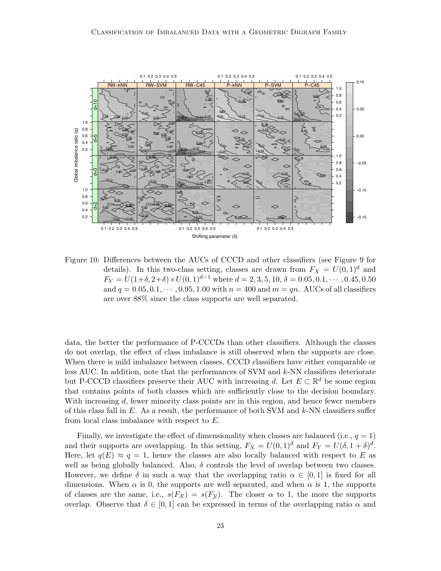

<span id="page-22-0"></span>Figure 10: Differences between the AUCs of CCCD and other classifiers (see Figure [9](#page-20-0) for details). In this two-class setting, classes are drawn from  $F_X = U(0, 1)<sup>d</sup>$  and  $F_Y = U(1+\delta, 2+\delta) \times U(0, 1)^{d-1}$  where  $d = 2, 3, 5, 10, \delta = 0.05, 0.1, \cdots, 0.45, 0.50$ and  $q = 0.05, 0.1, \dots, 0.95, 1.00$  with  $n = 400$  and  $m = qn$ . AUCs of all classifiers are over 88% since the class supports are well separated.

data, the better the performance of P-CCCDs than other classifiers. Although the classes do not overlap, the effect of class imbalance is still observed when the supports are close. When there is mild imbalance between classes, CCCD classifiers have either comparable or less AUC. In addition, note that the performances of SVM and k-NN classifiers deteriorate but P-CCCD classifiers preserve their AUC with increasing d. Let  $E \subset \mathbb{R}^d$  be some region that contains points of both classes which are sufficiently close to the decision boundary. With increasing d, fewer minority class points are in this region, and hence fewer members of this class fall in  $E$ . As a result, the performance of both SVM and  $k$ -NN classifiers suffer from local class imbalance with respect to E.

Finally, we investigate the effect of dimensionality when classes are balanced (i.e.,  $q = 1$ ) and their supports are overlapping. In this setting,  $F_X = U(0, 1)^d$  and  $F_Y = U(\delta, 1 + \delta)^d$ . Here, let  $q(E) \approx q = 1$ , hence the classes are also locally balanced with respect to E as well as being globally balanced. Also,  $\delta$  controls the level of overlap between two classes. However, we define  $\delta$  in such a way that the overlapping ratio  $\alpha \in [0,1]$  is fixed for all dimensions. When  $\alpha$  is 0, the supports are well separated, and when  $\alpha$  is 1, the supports of classes are the same, i.e.,  $s(F_{\mathcal{X}}) = s(F_{\mathcal{Y}})$ . The closer  $\alpha$  to 1, the more the supports overlap. Observe that  $\delta \in [0,1]$  can be expressed in terms of the overlapping ratio  $\alpha$  and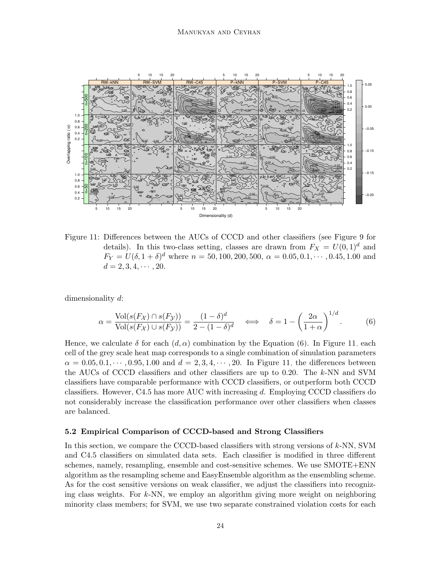

<span id="page-23-1"></span>Figure 11: Differences between the AUCs of CCCD and other classifiers (see Figure [9](#page-20-0) for details). In this two-class setting, classes are drawn from  $F_X = U(0, 1)<sup>d</sup>$  and  $F_Y = U(\delta, 1 + \delta)^d$  where  $n = 50, 100, 200, 500, \alpha = 0.05, 0.1, \cdots, 0.45, 1.00$  and  $d = 2, 3, 4, \cdots, 20.$ 

dimensionality d:

<span id="page-23-0"></span>
$$
\alpha = \frac{\text{Vol}(s(F_{\mathcal{X}}) \cap s(F_{\mathcal{Y}}))}{\text{Vol}(s(F_{\mathcal{X}}) \cup s(F_{\mathcal{Y}}))} = \frac{(1 - \delta)^d}{2 - (1 - \delta)^d} \quad \Longleftrightarrow \quad \delta = 1 - \left(\frac{2\alpha}{1 + \alpha}\right)^{1/d}.
$$
 (6)

Hence, we calculate  $\delta$  for each  $(d, \alpha)$  combination by the Equation [\(6\)](#page-23-0). In Figure [11,](#page-23-1) each cell of the grey scale heat map corresponds to a single combination of simulation parameters  $\alpha = 0.05, 0.1, \cdots, 0.95, 1.00$  and  $d = 2, 3, 4, \cdots, 20$ . In Figure [11,](#page-23-1) the differences between the AUCs of CCCD classifiers and other classifiers are up to 0.20. The k-NN and SVM classifiers have comparable performance with CCCD classifiers, or outperform both CCCD classifiers. However,  $C4.5$  has more AUC with increasing d. Employing CCCD classifiers do not considerably increase the classification performance over other classifiers when classes are balanced.

#### 5.2 Empirical Comparison of CCCD-based and Strong Classifiers

In this section, we compare the CCCD-based classifiers with strong versions of k-NN, SVM and C4.5 classifiers on simulated data sets. Each classifier is modified in three different schemes, namely, resampling, ensemble and cost-sensitive schemes. We use SMOTE+ENN algorithm as the resampling scheme and EasyEnsemble algorithm as the ensembling scheme. As for the cost sensitive versions on weak classifier, we adjust the classifiers into recognizing class weights. For k-NN, we employ an algorithm giving more weight on neighboring minority class members; for SVM, we use two separate constrained violation costs for each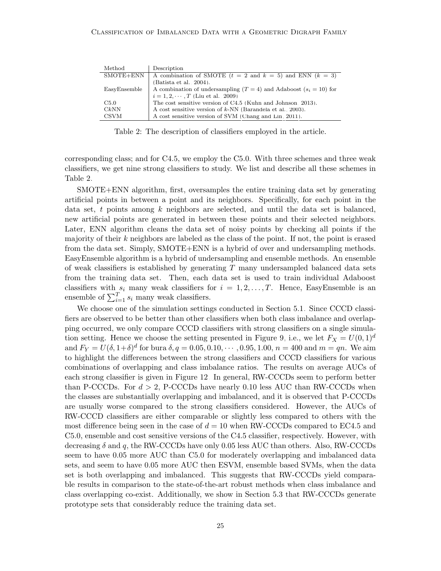| Method       | Description                                                            |
|--------------|------------------------------------------------------------------------|
| SMOTE+ENN    | A combination of SMOTE $(t = 2$ and $k = 5)$ and ENN $(k = 3)$         |
|              | (Batista et al., 2004).                                                |
| EasyEnsemble | A combination of undersampling $(T = 4)$ and Adaboost $(s_i = 10)$ for |
|              | $i = 1, 2, \cdots, T$ (Liu et al., 2009)                               |
| C5.0         | The cost sensitive version of C4.5 (Kuhn and Johnson, 2013).           |
| CkNN         | A cost sensitive version of $k$ -NN (Barandela et al., 2003).          |
| <b>CSVM</b>  | A cost sensitive version of SVM (Chang and Lin, 2011).                 |

<span id="page-24-0"></span>Table 2: The description of classifiers employed in the article.

corresponding class; and for C4.5, we employ the C5.0. With three schemes and three weak classifiers, we get nine strong classifiers to study. We list and describe all these schemes in Table [2.](#page-24-0)

SMOTE+ENN algorithm, first, oversamples the entire training data set by generating artificial points in between a point and its neighbors. Specifically, for each point in the data set,  $t$  points among  $k$  neighbors are selected, and until the data set is balanced, new artificial points are generated in between these points and their selected neighbors. Later, ENN algorithm cleans the data set of noisy points by checking all points if the majority of their  $k$  neighbors are labeled as the class of the point. If not, the point is erased from the data set. Simply, SMOTE+ENN is a hybrid of over and undersampling methods. EasyEnsemble algorithm is a hybrid of undersampling and ensemble methods. An ensemble of weak classifiers is established by generating  $T$  many undersampled balanced data sets from the training data set. Then, each data set is used to train individual Adaboost classifiers with  $s_i$  many weak classifiers for  $i = 1, 2, \ldots, T$ . Hence, EasyEnsemble is an ensemble of  $\sum_{i=1}^{T} s_i$  many weak classifiers.

We choose one of the simulation settings conducted in Section [5.1.](#page-14-0) Since CCCD classifiers are observed to be better than other classifiers when both class imbalance and overlapping occurred, we only compare CCCD classifiers with strong classifiers on a single simula-tion setting. Hence we choose the setting presented in Figure [9,](#page-20-0) i.e., we let  $F_X = U(0, 1)^d$ and  $F_Y = U(\delta, 1+\delta)^d$  for bura  $\delta, q = 0.05, 0.10, \cdots, 0.95, 1.00, n = 400$  and  $m = qn$ . We aim to highlight the differences between the strong classifiers and CCCD classifiers for various combinations of overlapping and class imbalance ratios. The results on average AUCs of each strong classifier is given in Figure [12.](#page-25-0) In general, RW-CCCDs seem to perform better than P-CCCDs. For  $d > 2$ , P-CCCDs have nearly 0.10 less AUC than RW-CCCDs when the classes are substantially overlapping and imbalanced, and it is observed that P-CCCDs are usually worse compared to the strong classifiers considered. However, the AUCs of RW-CCCD classifiers are either comparable or slightly less compared to others with the most difference being seen in the case of  $d = 10$  when RW-CCCDs compared to EC4.5 and C5.0, ensemble and cost sensitive versions of the C4.5 classifier, respectively. However, with decreasing  $\delta$  and q, the RW-CCCDs have only 0.05 less AUC than others. Also, RW-CCCDs seem to have 0.05 more AUC than C5.0 for moderately overlapping and imbalanced data sets, and seem to have 0.05 more AUC then ESVM, ensemble based SVMs, when the data set is both overlapping and imbalanced. This suggests that RW-CCCDs yield comparable results in comparison to the state-of-the-art robust methods when class imbalance and class overlapping co-exist. Additionally, we show in Section [5.3](#page-26-0) that RW-CCCDs generate prototype sets that considerably reduce the training data set.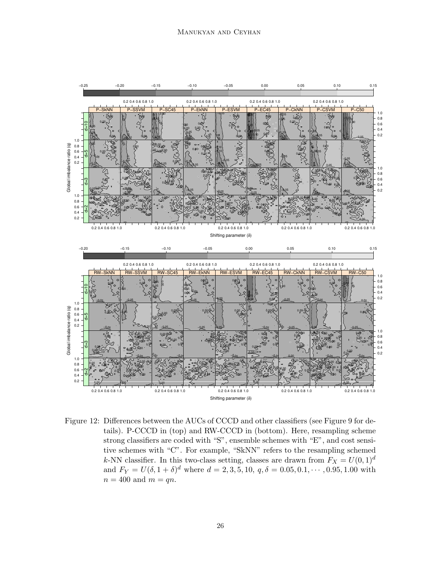

<span id="page-25-0"></span>Figure 12: Differences between the AUCs of CCCD and other classifiers (see Figure [9](#page-20-0) for details). P-CCCD in (top) and RW-CCCD in (bottom). Here, resampling scheme strong classifiers are coded with "S", ensemble schemes with "E", and cost sensitive schemes with "C". For example, "SkNN" refers to the resampling schemed k-NN classifier. In this two-class setting, classes are drawn from  $F_X = U(0, 1)<sup>d</sup>$ and  $F_Y = U(\delta, 1 + \delta)^d$  where  $d = 2, 3, 5, 10, q, \delta = 0.05, 0.1, \cdots, 0.95, 1.00$  with  $n = 400$  and  $m = qn$ .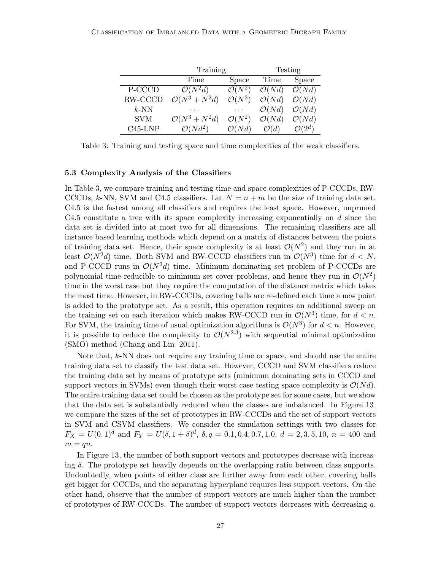|            | Training                  |                               |                   | Testing            |
|------------|---------------------------|-------------------------------|-------------------|--------------------|
|            | Time                      | Space                         | Time              | Space              |
| P-CCCD     | $\mathcal{O}(N^2d)$       | $\overline{\mathcal{O}(N^2)}$ | $\mathcal{O}(Nd)$ | $\mathcal{O}(Nd)$  |
| RW-CCCD    | $\mathcal{O}(N^3 + N^2d)$ | $\mathcal{O}(N^2)$            | $\mathcal{O}(Nd)$ | $\mathcal{O}(Nd)$  |
| $k$ -NN    |                           | $\cdots$                      | $\mathcal{O}(Nd)$ | $\mathcal{O}(Nd)$  |
| <b>SVM</b> | $\mathcal{O}(N^3 + N^2d)$ | $\mathcal{O}(N^2)$            | $\mathcal{O}(Nd)$ | $\mathcal{O}(Nd)$  |
| $C45-LNP$  | $\mathcal{O}(Nd^2)$       | $\mathcal{O}(Nd)$             | $\mathcal{O}(d)$  | $\mathcal{O}(2^d)$ |

<span id="page-26-1"></span>Table 3: Training and testing space and time complexities of the weak classifiers.

#### <span id="page-26-0"></span>5.3 Complexity Analysis of the Classifiers

In Table [3,](#page-26-1) we compare training and testing time and space complexities of P-CCCDs, RW-CCCDs, k-NN, SVM and C4.5 classifiers. Let  $N = n + m$  be the size of training data set. C4.5 is the fastest among all classifiers and requires the least space. However, unpruned C4.5 constitute a tree with its space complexity increasing exponentially on  $d$  since the data set is divided into at most two for all dimensions. The remaining classifiers are all instance based learning methods which depend on a matrix of distances between the points of training data set. Hence, their space complexity is at least  $\mathcal{O}(N^2)$  and they run in at least  $\mathcal{O}(N^2d)$  time. Both SVM and RW-CCCD classifiers run in  $\mathcal{O}(N^3)$  time for  $d < N$ , and P-CCCD runs in  $\mathcal{O}(N^2d)$  time. Minimum dominating set problem of P-CCCDs are polynomial time reducible to minimum set cover problems, and hence they run in  $\mathcal{O}(N^2)$ time in the worst case but they require the computation of the distance matrix which takes the most time. However, in RW-CCCDs, covering balls are re-defined each time a new point is added to the prototype set. As a result, this operation requires an additional sweep on the training set on each iteration which makes RW-CCCD run in  $\mathcal{O}(N^3)$  time, for  $d < n$ . For SVM, the training time of usual optimization algorithms is  $\mathcal{O}(N^3)$  for  $d < n$ . However, it is possible to reduce the complexity to  $\mathcal{O}(N^{2.3})$  with sequential minimal optimization (SMO) method [\(Chang and Lin, 2011\)](#page-35-4).

Note that,  $k$ -NN does not require any training time or space, and should use the entire training data set to classify the test data set. However, CCCD and SVM classifiers reduce the training data set by means of prototype sets (minimum dominating sets in CCCD and support vectors in SVMs) even though their worst case testing space complexity is  $\mathcal{O}(Nd)$ . The entire training data set could be chosen as the prototype set for some cases, but we show that the data set is substantially reduced when the classes are imbalanced. In Figure [13,](#page-28-0) we compare the sizes of the set of prototypes in RW-CCCDs and the set of support vectors in SVM and CSVM classifiers. We consider the simulation settings with two classes for  $F_X = U(0, 1)<sup>d</sup>$  and  $F_Y = U(\delta, 1 + \delta)<sup>d</sup>$ ,  $\delta, q = 0.1, 0.4, 0.7, 1.0, d = 2, 3, 5, 10, n = 400$  and  $m = qn$ .

In Figure [13,](#page-28-0) the number of both support vectors and prototypes decrease with increasing  $\delta$ . The prototype set heavily depends on the overlapping ratio between class supports. Undoubtedly, when points of either class are further away from each other, covering balls get bigger for CCCDs, and the separating hyperplane requires less support vectors. On the other hand, observe that the number of support vectors are much higher than the number of prototypes of RW-CCCDs. The number of support vectors decreases with decreasing  $q$ .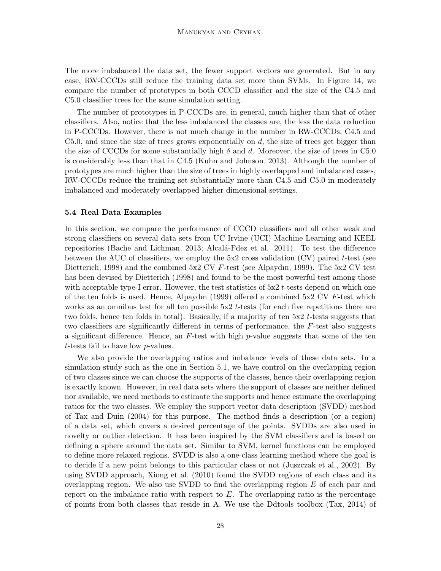The more imbalanced the data set, the fewer support vectors are generated. But in any case, RW-CCCDs still reduce the training data set more than SVMs. In Figure [14,](#page-29-0) we compare the number of prototypes in both CCCD classifier and the size of the C4.5 and C5.0 classifier trees for the same simulation setting.

The number of prototypes in P-CCCDs are, in general, much higher than that of other classifiers. Also, notice that the less imbalanced the classes are, the less the data reduction in P-CCCDs. However, there is not much change in the number in RW-CCCDs, C4.5 and  $C5.0$ , and since the size of trees grows exponentially on d, the size of trees get bigger than the size of CCCDs for some substantially high  $\delta$  and d. Moreover, the size of trees in C5.0 is considerably less than that in C4.5 [\(Kuhn and Johnson, 2013\)](#page-37-7). Although the number of prototypes are much higher than the size of trees in highly overlapped and imbalanced cases, RW-CCCDs reduce the training set substantially more than C4.5 and C5.0 in moderately imbalanced and moderately overlapped higher dimensional settings.

#### 5.4 Real Data Examples

In this section, we compare the performance of CCCD classifiers and all other weak and strong classifiers on several data sets from UC Irvine (UCI) Machine Learning and KEEL repositories [\(Bache and Lichman, 2013;](#page-35-7) Alcalá-Fdez et al., 2011). To test the difference between the AUC of classifiers, we employ the  $5x2$  cross validation (CV) paired t-test (see [Dietterich, 1998\)](#page-36-11) and the combined 5x2 CV F-test (see [Alpaydın, 1999\)](#page-35-9). The 5x2 CV test has been devised by [Dietterich](#page-36-11) [\(1998\)](#page-36-11) and found to be the most powerful test among those with acceptable type-I error. However, the test statistics of  $5x2$  t-tests depend on which one of the ten folds is used. Hence, [Alpaydın](#page-35-9) [\(1999\)](#page-35-9) offered a combined  $5x2$  CV  $F$ -test which works as an omnibus test for all ten possible 5x2 t-tests (for each five repetitions there are two folds, hence ten folds in total). Basically, if a majority of ten  $5x2$  t-tests suggests that two classifiers are significantly different in terms of performance, the F-test also suggests a significant difference. Hence, an  $F$ -test with high  $p$ -value suggests that some of the ten t-tests fail to have low p-values.

We also provide the overlapping ratios and imbalance levels of these data sets. In a simulation study such as the one in Section [5.1,](#page-14-0) we have control on the overlapping region of two classes since we can choose the supports of the classes, hence their overlapping region is exactly known. However, in real data sets where the support of classes are neither defined nor available, we need methods to estimate the supports and hence estimate the overlapping ratios for the two classes. We employ the support vector data description (SVDD) method of [Tax and Duin](#page-39-12) [\(2004\)](#page-39-12) for this purpose. The method finds a description (or a region) of a data set, which covers a desired percentage of the points. SVDDs are also used in novelty or outlier detection. It has been inspired by the SVM classifiers and is based on defining a sphere around the data set. Similar to SVM, kernel functions can be employed to define more relaxed regions. SVDD is also a one-class learning method where the goal is to decide if a new point belongs to this particular class or not [\(Juszczak et al., 2002\)](#page-37-12). By using SVDD approach, [Xiong et al.](#page-39-13) [\(2010\)](#page-39-13) found the SVDD regions of each class and its overlapping region. We also use SVDD to find the overlapping region  $E$  of each pair and report on the imbalance ratio with respect to  $E$ . The overlapping ratio is the percentage of points from both classes that reside in A. We use the Ddtools toolbox [\(Tax, 2014\)](#page-39-14) of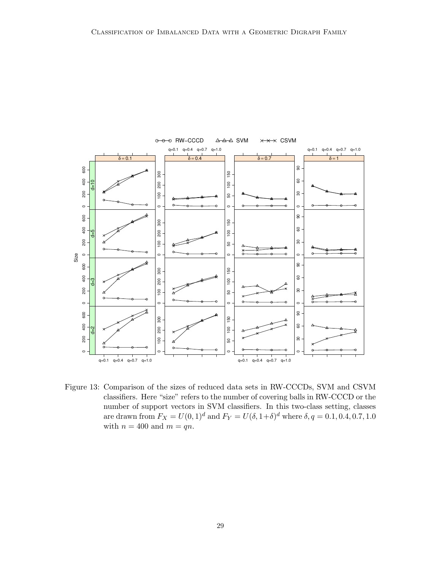![](_page_28_Figure_1.jpeg)

<span id="page-28-0"></span>Figure 13: Comparison of the sizes of reduced data sets in RW-CCCDs, SVM and CSVM classifiers. Here "size" refers to the number of covering balls in RW-CCCD or the number of support vectors in SVM classifiers. In this two-class setting, classes are drawn from  $F_X = U(0, 1)^d$  and  $F_Y = U(\delta, 1 + \delta)^d$  where  $\delta, q = 0.1, 0.4, 0.7, 1.0$ with  $n = 400$  and  $m = qn$ .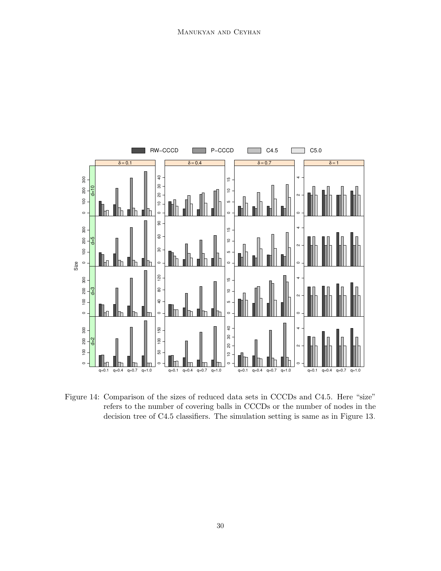![](_page_29_Figure_1.jpeg)

<span id="page-29-0"></span>Figure 14: Comparison of the sizes of reduced data sets in CCCDs and C4.5. Here "size" refers to the number of covering balls in CCCDs or the number of nodes in the decision tree of C4.5 classifiers. The simulation setting is same as in Figure [13.](#page-28-0)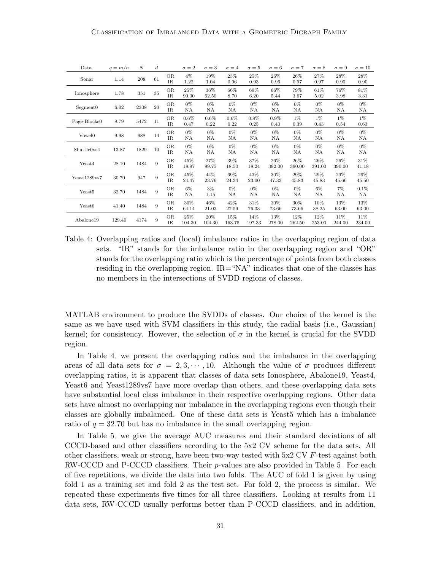| Data                 | $q = m/n$ | N    | $_{d}$ |                          | $\sigma = 2$    | $\sigma = 3$    | $\sigma = 4$    | $\sigma = 5$    | $\sigma = 6$    | $\sigma = 7$  | $\sigma = 8$  | $\sigma = 9$     | $\sigma = 10$  |
|----------------------|-----------|------|--------|--------------------------|-----------------|-----------------|-----------------|-----------------|-----------------|---------------|---------------|------------------|----------------|
| Sonar                | 1.14      | 208  | 61     | OR.<br>$_{\rm IR}$       | $4\%$<br>1.22   | 19%<br>1.04     | 23%<br>0.96     | 25%<br>0.93     | $26\%$<br>0.96  | 26%<br>0.97   | 27%<br>0.97   | 28%<br>0.90      | 28%<br>0.90    |
| Ionosphere           | 1.78      | 351  | 35     | <b>OR</b><br>$_{\rm IR}$ | 25%<br>90.00    | 36%<br>62.50    | 66%<br>8.70     | 69%<br>6.20     | 66%<br>5.44     | 79%<br>3.67   | 61%<br>5.02   | 76%<br>3.98      | 81%<br>3.31    |
| Segment <sub>0</sub> | 6.02      | 2308 | 20     | <b>OR</b><br>$_{\rm IR}$ | 0%<br>NA        | $0\%$<br>NA     | 0%<br>NA        | $0\%$<br>ΝA     | 0%<br>ΝA        | 0%<br>NA      | 0%<br>ΝA      | 0%<br>ΝA         | $0\%$<br>NA    |
| Page-Blocks0         | 8.79      | 5472 | 11     | <b>OR</b><br>IR.         | $0.6\%$<br>0.47 | $0.6\%$<br>0.22 | $0.6\%$<br>0.22 | $0.8\%$<br>0.25 | $0.9\%$<br>0.40 | 1%<br>0.39    | $1\%$<br>0.43 | 1%<br>0.54       | 1%<br>0.63     |
| Vowel <sub>0</sub>   | 9.98      | 988  | 14     | <b>OR</b><br>$_{\rm IR}$ | 0%<br>NA        | $0\%$<br>NA     | 0%<br>NA        | $0\%$<br>NA     | $0\%$<br>NA     | $0\%$<br>NA   | 0%<br>NA      | $0\%$<br>NA      | $0\%$<br>NA    |
| Shuttle0vs4          | 13.87     | 1829 | 10     | <b>OR</b><br>IR.         | 0%<br>NA        | $0\%$<br>NA     | 0%<br>NA        | 0%<br>ΝA        | 0%<br>NA        | 0%<br>NA      | 0%<br>NA      | 0%<br>ΝA         | $0\%$<br>NA    |
| Yeast4               | 28.10     | 1484 | 9      | <b>OR</b><br>$_{\rm IR}$ | 45%<br>18.97    | 27%<br>99.75    | 39%<br>18.50    | 37%<br>18.24    | 26%<br>392.00   | 26%<br>390.00 | 26%<br>391.00 | $26\%$<br>390.00 | 31\%<br>41.18  |
| Yeast1289vs7         | 30.70     | 947  | 9      | <b>OR</b><br>$_{\rm IR}$ | 45%<br>24.47    | 44%<br>23.76    | 69%<br>24.34    | 43%<br>23.00    | 30%<br>47.33    | 29%<br>45.83  | 29%<br>45.83  | 29%<br>45.66     | 29%<br>45.50   |
| Yeast5               | 32.70     | 1484 | 9      | <b>OR</b><br>$_{\rm IR}$ | $6\%$<br>NA     | $3\%$<br>1.15   | $0\%$<br>NA     | $0\%$<br>NA     | $0\%$<br>NA     | $0\%$<br>NA   | $6\%$<br>NA   | 7%<br>NA         | 0.1%<br>NA     |
| Yeast <sub>6</sub>   | 41.40     | 1484 | 9      | <b>OR</b><br>$_{\rm IR}$ | 30%<br>64.14    | 46%<br>21.03    | 42%<br>27.59    | 31%<br>76.33    | 30%<br>73.66    | 30%<br>73.66  | 10%<br>38.25  | 13%<br>63.00     | 13%<br>63.00   |
| Abalone19            | 129.40    | 4174 | 9      | <b>OR</b><br>IR.         | 25%<br>104.30   | 20%<br>104.30   | 15%<br>163.75   | 14%<br>197.33   | 13%<br>278.00   | 12%<br>262.50 | 12%<br>253.00 | 11%<br>244.00    | 11\%<br>234.00 |

<span id="page-30-0"></span>Table 4: Overlapping ratios and (local) imbalance ratios in the overlapping region of data sets. "IR" stands for the imbalance ratio in the overlapping region and "OR" stands for the overlapping ratio which is the percentage of points from both classes residing in the overlapping region. IR="NA" indicates that one of the classes has no members in the intersections of SVDD regions of classes.

MATLAB environment to produce the SVDDs of classes. Our choice of the kernel is the same as we have used with SVM classifiers in this study, the radial basis (i.e., Gaussian) kernel; for consistency. However, the selection of  $\sigma$  in the kernel is crucial for the SVDD region.

In Table [4,](#page-30-0) we present the overlapping ratios and the imbalance in the overlapping areas of all data sets for  $\sigma = 2, 3, \cdots, 10$ . Although the value of  $\sigma$  produces different overlapping ratios, it is apparent that classes of data sets Ionosphere, Abalone19, Yeast4, Yeast6 and Yeast1289vs7 have more overlap than others, and these overlapping data sets have substantial local class imbalance in their respective overlapping regions. Other data sets have almost no overlapping nor imbalance in the overlapping regions even though their classes are globally imbalanced. One of these data sets is Yeast5 which has a imbalance ratio of  $q = 32.70$  but has no imbalance in the small overlapping region.

In Table [5,](#page-32-0) we give the average AUC measures and their standard deviations of all CCCD-based and other classifiers according to the 5x2 CV scheme for the data sets. All other classifiers, weak or strong, have been two-way tested with  $5x2$  CV  $F$ -test against both RW-CCCD and P-CCCD classifiers. Their p-values are also provided in Table [5.](#page-32-0) For each of five repetitions, we divide the data into two folds. The AUC of fold 1 is given by using fold 1 as a training set and fold 2 as the test set. For fold 2, the process is similar. We repeated these experiments five times for all three classifiers. Looking at results from 11 data sets, RW-CCCD usually performs better than P-CCCD classifiers, and in addition,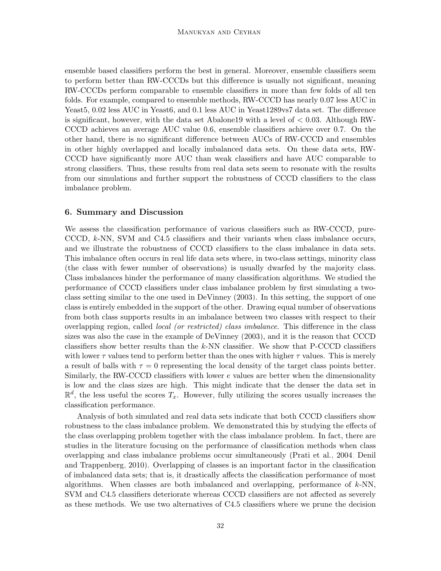ensemble based classifiers perform the best in general. Moreover, ensemble classifiers seem to perform better than RW-CCCDs but this difference is usually not significant, meaning RW-CCCDs perform comparable to ensemble classifiers in more than few folds of all ten folds. For example, compared to ensemble methods, RW-CCCD has nearly 0.07 less AUC in Yeast<sub>5</sub>, 0.02 less AUC in Yeast<sub>6</sub>, and 0.1 less AUC in Yeast1289vs7 data set. The difference is significant, however, with the data set Abalone19 with a level of  $< 0.03$ . Although RW-CCCD achieves an average AUC value 0.6, ensemble classifiers achieve over 0.7. On the other hand, there is no significant difference between AUCs of RW-CCCD and ensembles in other highly overlapped and locally imbalanced data sets. On these data sets, RW-CCCD have significantly more AUC than weak classifiers and have AUC comparable to strong classifiers. Thus, these results from real data sets seem to resonate with the results from our simulations and further support the robustness of CCCD classifiers to the class imbalance problem.

# 6. Summary and Discussion

We assess the classification performance of various classifiers such as RW-CCCD, pure-CCCD, k-NN, SVM and C4.5 classifiers and their variants when class imbalance occurs, and we illustrate the robustness of CCCD classifiers to the class imbalance in data sets. This imbalance often occurs in real life data sets where, in two-class settings, minority class (the class with fewer number of observations) is usually dwarfed by the majority class. Class imbalances hinder the performance of many classification algorithms. We studied the performance of CCCD classifiers under class imbalance problem by first simulating a twoclass setting similar to the one used in [DeVinney](#page-36-9) [\(2003\)](#page-36-9). In this setting, the support of one class is entirely embedded in the support of the other. Drawing equal number of observations from both class supports results in an imbalance between two classes with respect to their overlapping region, called local (or restricted) class imbalance. This difference in the class sizes was also the case in the example of [DeVinney](#page-36-9) [\(2003\)](#page-36-9), and it is the reason that CCCD classifiers show better results than the  $k$ -NN classifier. We show that P-CCCD classifiers with lower  $\tau$  values tend to perform better than the ones with higher  $\tau$  values. This is merely a result of balls with  $\tau = 0$  representing the local density of the target class points better. Similarly, the RW-CCCD classifiers with lower e values are better when the dimensionality is low and the class sizes are high. This might indicate that the denser the data set in  $\mathbb{R}^d$ , the less useful the scores  $T_x$ . However, fully utilizing the scores usually increases the classification performance.

Analysis of both simulated and real data sets indicate that both CCCD classifiers show robustness to the class imbalance problem. We demonstrated this by studying the effects of the class overlapping problem together with the class imbalance problem. In fact, there are studies in the literature focusing on the performance of classification methods when class overlapping and class imbalance problems occur simultaneously [\(Prati et al., 2004;](#page-38-11) [Denil](#page-36-12) [and Trappenberg, 2010\)](#page-36-12). Overlapping of classes is an important factor in the classification of imbalanced data sets; that is, it drastically affects the classification performance of most algorithms. When classes are both imbalanced and overlapping, performance of  $k$ -NN, SVM and C4.5 classifiers deteriorate whereas CCCD classifiers are not affected as severely as these methods. We use two alternatives of C4.5 classifiers where we prune the decision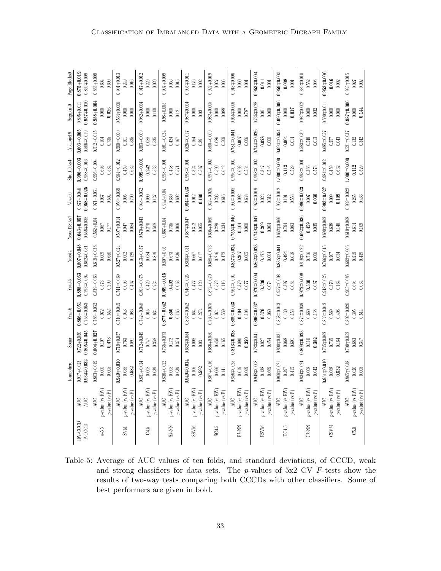|                 |                                                       | lonosphere                                | Sonar                                                            | Yeast6                                | Yeast5                                | Yeast4                                    | Yeast1289vs7                               | Vowel0                                | Shuttle0vs4                               | Abalone19                               | Segment <sub>0</sub>                | Page-Blocks0                            |
|-----------------|-------------------------------------------------------|-------------------------------------------|------------------------------------------------------------------|---------------------------------------|---------------------------------------|-------------------------------------------|--------------------------------------------|---------------------------------------|-------------------------------------------|-----------------------------------------|-------------------------------------|-----------------------------------------|
| RW-CCCD         | AUC                                                   | $0.934 + 0.032$                           | $0.805 + 0.045$                                                  | $0.866 + 0.051$                       | $0.898 + 0.063$                       | $0.807 + 0.048$                           | $0.643 + 0.057$                            | $0.958 + 0.025$                       | $0.996 + 0.003$                           | $0.603 + 0.065$                         | $0.957 + 0.010$                     | $0.875 + 0.019$                         |
| $P\text{-CCCD}$ | AUC                                                   | $0.917 + 0.023$                           | $0.722 + 0.050$                                                  | $0.755 + 0.053$                       | $0.793 + 0.094$                       | $0.602 \pm 0.051$                         | $0.556 + 0.038$                            | $0.877 + 0.046$                       | $0.988 \pm 0.016$                         | $0.506 + 0.019$                         | $0.895 + 0.011$                     | $0.869 + 0.009$                         |
| K-NN            | $p$ -value (vs RW)<br>$p\text{-value (vs P)}$<br>AUC  | $0.803 + 0.019$<br>$0.005$<br>$0.000\,$   | $0.804 \pm 0.027$<br>0.473<br>$0.107$                            | $0.786 + 0.032$<br>0.552<br>0.072     | $0.839 + 0.063$<br>0.209<br>0.573     | $0.619 + 0.038$<br>$0.650\,$<br>0.009     | $0.562 \pm 0.04$<br>0.177<br>0.087         | $0.971 + 0.031$<br>0.504<br>0.037     | $0.996 + 0.004$<br>0.534<br>0.693         | $0.512 + 0.015$<br>0.104<br>0.735       | $0.988 + 0.004$<br>0.026<br>0.000   | $0.863 + 0.009$<br>0.600                |
| <b>KVS</b>      | $v$ -value (vs RW)<br>$p$ value (vs ${\bf P})$<br>AUC | $0.949 + 0.010$<br>0.582<br>$0.088\,$     | $0.719 + 0.05$<br>0.091<br>0.763                                 | $0.710 + 0.045$<br>0.086<br>0.043     | $0.741 + 0.069$<br>0.467              | $0.527 + 0.024$<br>0.129                  | $0.507 \pm 0.014$<br>0.084<br><b>TFO.0</b> | $0.956 + 0.039$<br>0.700<br>0.095     | $0.984 \pm 0.012$<br>0.632<br>0.459       | $0.500 + 0.000$<br>0.535<br>0.101       | $0.564 + 0.006$<br>$0.000$<br>0.000 | $0.901 \pm 0.013$<br>0.016<br>0.249     |
| C4.5            | $p$ -value (vs RW)                                    | $0.851 + 0.024$                           | $0.712 \pm 0.049$                                                | $0.742 + 0.048$                       | $0.803 + 0.075$                       | $0.613 + 0.057$                           | $0.570 + 0.043$                            | $0.948 + 0.032$                       | $0.999 + 0.001$                           | $0.503 + 0.009$                         | $0.982 + 0.004$                     | $0.917 + 0.012$                         |
|                 | $p$ -value (vs P)                                     | $0.008\,$                                 | $0.747$                                                          | $0.015$                               | 0.429                                 | $0.084\,$                                 | $0.270\,$                                  | $0.090$                               | 0.242                                     | 0.088                                   | $0.000$                             | 0.229                                   |
|                 | AUC                                                   | 0.039                                     | 0.358                                                            | 0.634                                 | 0.734                                 | 0.819                                     | 0.508                                      | 0.137                                 | 0.533                                     | 0.535                                   | $0.100$                             | 0.020                                   |
| $Sk-NN$         | $p$ -value (vs RW)                                    | $0.836 + 0.022$                           | $0.735 + 0.073$                                                  | $0.877 + 0.042$                       | $0.969 + 0.015$                       | $0.807 + 0.05$                            | $0.667 \pm 0.04$                           | $0.942 \pm 0.04$                      | $0.998 + 0.001$                           | $0.561 + 0.024$                         | $0.98 + 0.005$                      | $0.907 + 0.009$                         |
|                 | $p\text{-value}$ (vs P)                               | $0.008$                                   | $0.172$                                                          | $0.350\,$                             | 0.402                                 | $0.673\,$                                 | 0.735                                      | $0.602$                               | $0.458$                                   | 0.424                                   | $0.000$                             | 0.056                                   |
|                 | AUC                                                   | 0.039                                     | 0.374                                                            | 0.165                                 | $0.063$                               | $0.036\,$                                 | $0.006$                                    | $0.330\,$                             | $0.571\,$                                 | 0.167                                   | 0.121                               | $0.015$                                 |
| <b>SSVM</b>     | $p$ -value (vs RW)                                    | $0.949 + 0.014$                           | $0.632 + 0.054$                                                  | $3.865 + 0.042$                       | $0.946 + 0.025$                       | $0.800 + 0.031$                           | 150.0±289                                  | $0.984 + 0.023$                       | $0.998 \pm 0.001$                         | $0.525 + 0.017$                         | $0.987 + 0.004$                     | $0.905 \pm 0.011$                       |
|                 | $p\text{-value}$ (vs P)                               | 0.592                                     | $0.008\,$                                                        | $\,0.664\,$                           | $0.120\,$                             | $0.017$                                   | 0.312                                      | 0.160                                 | 0.324                                     | $0.164\,$                               | $0.000$                             | 0.176                                   |
|                 | AUC                                                   | $0.106$                                   | $\!0.031$                                                        | $0.273\,$                             | $0.477$                               | $0.667\,$                                 | $0.055\,$                                  | $0.012\,$                             | 0.567                                     | $\!0.391$                               | $0.031\,$                           | $0.002$                                 |
| SC4.5           | $p$ -value (vs RW)<br>$p$ -value (vs P)<br>AUC        | $0.867 + 0.016$<br>$0.066\,$<br>$0.141$   | $0.686 + 0.050$<br>$\begin{array}{c} 0.450 \\ 0.165 \end{array}$ | $0.760 + 0.075$<br>$0.074\,$<br>0.559 | $0.872 + 0.070$<br>$0.572\,$<br>0.116 | $0.688 + 0.073$<br>$0.216\,$<br>$0.472\,$ | $0.605 + 0.060$<br>$0.229\,$<br>0.334      | $0.942 + 0.025$<br>$0.203\,$<br>0.616 | $0.997 + 0.002$<br>$0.590\,$<br>$0.642\,$ | $0.500 + 0.009$<br>$0.086\,$<br>0.509   | $0.982 + 0.005$<br>$0.000$<br>0.088 | $0.922 \pm 0.019$<br>$0.027$<br>$0.005$ |
| Ek-NN           | $p$ -value (vs RW)<br>$p\text{-value (vs P)}$<br>AUC  | $0.856 + 0.025$<br>$0.019\,$<br>0.069     | $0.813 + 0.028$<br>$\frac{0.090}{0.320}$                         | $0.889 + 0.043$<br>0.494<br>$0.108\,$ | $0.964 + 0.004$<br>67800              | $0.857 + 0.024$<br>$0.267\,$<br>$0.005\,$ | $0.755 + 0.040$<br>$0.101\,$<br>$0.000\,$  | $0.960 + 0.008$<br>0.638<br>$0.092\,$ | $0.996 + 0.004$<br>$\,0.693$<br>0.534     | $0.731 + 0.041$<br>$0.007$<br>$0.006\,$ | $0.955 + 0.006$<br>$0.000$<br>0.787 | $0.913 + 0.006$<br>$0.060\,$<br>0.001   |
| <b>ESVM</b>     | $p$ -value (vs RW)                                    | $0.948 + 0.008$                           | 1.783 + 0.041                                                    | $0.896 + 0.037$                       | $0.970 + 0.004$                       | $0.862 + 0.023$                           | $0.749 + 0.047$                            | $0.973 + 0.019$                       | $0.998 + 0.002$                           | $0.744 + 0.026$                         | $0.735 + 0.028$                     | $0.953 + 0.004$                         |
|                 | $p\text{-value}$ (vs P)                               | $0.138$                                   | $0.454\,$                                                        | 0.376                                 | 0.336                                 | 0.175                                     | 0.209                                      | 0.312                                 | 0.347                                     | 0.028                                   | $0.000$                             | 0.011                                   |
|                 | AUC                                                   | 0.669                                     | $0.027\,$                                                        | $0.060\,$                             | $0.074\,$                             | $0.004\,$                                 | $0.004\,$                                  | 0.023                                 | 0.546                                     | $0.000\,$                               | $0.001\,$                           | $0.001$                                 |
| EC4.5           | $p$ -value (vs RW)                                    | $0.909 + 0.021$                           | $0.800 + 0.031$                                                  | $0.858 + 0.043$                       | $0.057 + 0.008$                       | $0.835 + 0.041$                           | $0.662 + 0.066$                            | $0.963 + 0.012$                       | $1.000 + 0.000$                           | $0.694 + 0.054$                         | $0.990 + 0.006$                     | $0.959 + 0.005$                         |
|                 | $p\text{-value (vs P)}$                               | $0.397\,$                                 | $0.068\,$                                                        | $\,0.430\,$                           | $0.084\,$                             | 0.494                                     | $0.794\,$                                  | $0.101$                               | 0.112                                     | 0.004                                   | $0.017$                             | 0.008                                   |
|                 | AUC                                                   | 0.415                                     | $\!0.691$                                                        | 0.153                                 | 0.397                                 | $0.018\,$                                 | $\,0.083\,$                                | 0.553                                 | 0.529                                     | $0.014\,$                               | $0.000$                             | $0.001$                                 |
| $Ck$ -NN        | $p$ -value (vs RW)                                    | $0.834 \pm 0.024$                         | $0.809 + 0.023$                                                  | $0.874 \pm 0.039$                     | $0.972 + 0.008$                       | $0.819 + 0.022$                           | $0.692 + 0.036$                            | $0.986 + 0.023$                       | $0.998 + 0.001$                           | $0.583 + 0.039$                         | $0.987 + 0.002$                     | $0.889 + 0.010$                         |
|                 | $p\text{-value}$ (vs P)                               | $0.008$                                   | $0.110\,$                                                        | $0.660\,$                             | 0.330                                 | $0.716\,$                                 | 0.459                                      | $\,0.030\,$                           | 0.366                                     | 0.549                                   | 0.000                               | 0.552                                   |
|                 | AUC                                                   | $0.042\,$                                 | 0.382                                                            | 0.138                                 | $0.067\,$                             | $0.006\,$                                 | $\!0.035$                                  | $0.007$                               | 0.573                                     | $0.013$                                 | 0.032                               | $0.008$                                 |
| <b>CSVM</b>     | $p$ -value (vs RW)                                    | $0.951 \pm 0.010$                         | $0.735 + 0.062$                                                  | $0.835 + 0.042$                       | 1.948 + 0.025                         | $0.766 + 0.045$                           | 0.690年0.062                                | $0.983 + 0.027$                       | $0.984 \pm 0.012$                         | $0.685 + 0.057$                         | $0.590 + 0.011$                     | $0.953 + 0.006$                         |
|                 | $p\text{-value}$ (vs P)                               | 0.532                                     | $0.735\,$                                                        | 0.569                                 | $0.370\,$                             | $0.054\,$                                 | 0.638                                      | 0.109                                 | 0.459                                     | 0.257                                   | 0.000                               | 0.016                                   |
|                 | AUC                                                   | $0.068$                                   | 0.164                                                            | $0.408$                               | 0.164                                 | $0.207\,$                                 | $0.140\,$                                  | 0.009                                 | 0.632                                     | $0.043$                                 | $0.000$                             | 0.002                                   |
| $\ddot{c}$      | p-value (vs RW)<br>$p\text{-value (vs P)}$<br>AUC     | $0.865 + 0.038$<br>$0.020\,$<br>$0.005\,$ | $0.709 + 0.052$<br>$\!0.683$<br>0.347                            | $0.802 + 0.020$<br>0.514<br>0.395     | $0.905 + 0.085$<br>0.694<br>0.034     | $0.692 + 0.066$<br>0.219<br>$\,0.439\,$   | $0.610 + 0.068$<br>$0.614\,$<br>0.109      | $0.939 + 0.022$<br>0.265<br>$0.436$   | $1.000 + 0.000$<br>0.112<br>0.529         | $0.521 + 0.037$<br>$0.132$<br>$0.342$   | $0.987 + 0.006$<br>0.144<br>$0.000$ | $0.935 + 0.015$<br>$0.002$<br>0.027     |

Classification of Imbalanced Data with a Geometric Digraph Family

<span id="page-32-0"></span>Table 5: Average of AUC values of ten folds, and standard deviations, of CCCD, weak and strong classifiers for data sets. The  $p$ -values of  $5x2$  CV  $F$ -tests show the results of two-way tests comparing both CCCDs with other classifiers. Some of best performers are given in bold.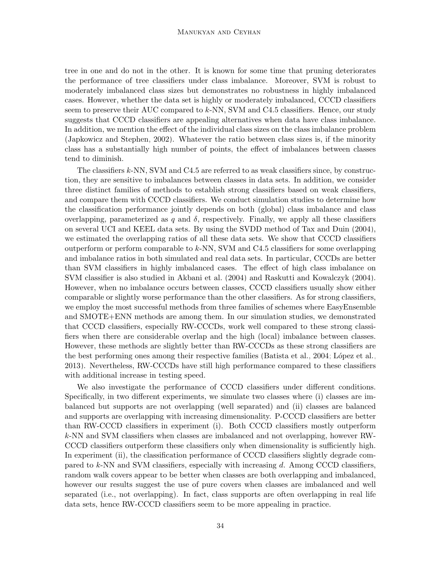#### Manukyan and Ceyhan

tree in one and do not in the other. It is known for some time that pruning deteriorates the performance of tree classifiers under class imbalance. Moreover, SVM is robust to moderately imbalanced class sizes but demonstrates no robustness in highly imbalanced cases. However, whether the data set is highly or moderately imbalanced, CCCD classifiers seem to preserve their AUC compared to k-NN, SVM and C4.5 classifiers. Hence, our study suggests that CCCD classifiers are appealing alternatives when data have class imbalance. In addition, we mention the effect of the individual class sizes on the class imbalance problem [\(Japkowicz and Stephen, 2002\)](#page-37-0). Whatever the ratio between class sizes is, if the minority class has a substantially high number of points, the effect of imbalances between classes tend to diminish.

The classifiers k-NN, SVM and C4.5 are referred to as weak classifiers since, by construction, they are sensitive to imbalances between classes in data sets. In addition, we consider three distinct families of methods to establish strong classifiers based on weak classifiers, and compare them with CCCD classifiers. We conduct simulation studies to determine how the classification performance jointly depends on both (global) class imbalance and class overlapping, parameterized as q and  $\delta$ , respectively. Finally, we apply all these classifiers on several UCI and KEEL data sets. By using the SVDD method of [Tax and Duin](#page-39-12) [\(2004\)](#page-39-12), we estimated the overlapping ratios of all these data sets. We show that CCCD classifiers outperform or perform comparable to k-NN, SVM and C4.5 classifiers for some overlapping and imbalance ratios in both simulated and real data sets. In particular, CCCDs are better than SVM classifiers in highly imbalanced cases. The effect of high class imbalance on SVM classifier is also studied in [Akbani et al.](#page-35-0) [\(2004\)](#page-35-0) and [Raskutti and Kowalczyk](#page-39-3) [\(2004\)](#page-39-3). However, when no imbalance occurs between classes, CCCD classifiers usually show either comparable or slightly worse performance than the other classifiers. As for strong classifiers, we employ the most successful methods from three families of schemes where EasyEnsemble and SMOTE+ENN methods are among them. In our simulation studies, we demonstrated that CCCD classifiers, especially RW-CCCDs, work well compared to these strong classifiers when there are considerable overlap and the high (local) imbalance between classes. However, these methods are slightly better than RW-CCCDs as these strong classifiers are the best performing ones among their respective families [\(Batista et al., 2004;](#page-35-3) López et al., [2013\)](#page-38-0). Nevertheless, RW-CCCDs have still high performance compared to these classifiers with additional increase in testing speed.

We also investigate the performance of CCCD classifiers under different conditions. Specifically, in two different experiments, we simulate two classes where (i) classes are imbalanced but supports are not overlapping (well separated) and (ii) classes are balanced and supports are overlapping with increasing dimensionality. P-CCCD classifiers are better than RW-CCCD classifiers in experiment (i). Both CCCD classifiers mostly outperform k-NN and SVM classifiers when classes are imbalanced and not overlapping, however RW-CCCD classifiers outperform these classifiers only when dimensionality is sufficiently high. In experiment (ii), the classification performance of CCCD classifiers slightly degrade compared to  $k$ -NN and SVM classifiers, especially with increasing d. Among CCCD classifiers, random walk covers appear to be better when classes are both overlapping and imbalanced, however our results suggest the use of pure covers when classes are imbalanced and well separated (i.e., not overlapping). In fact, class supports are often overlapping in real life data sets, hence RW-CCCD classifiers seem to be more appealing in practice.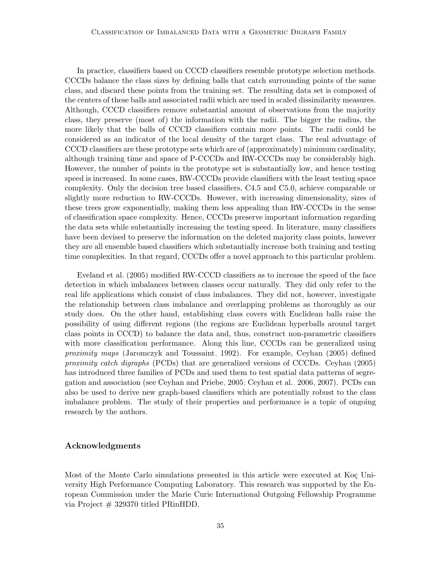In practice, classifiers based on CCCD classifiers resemble prototype selection methods. CCCDs balance the class sizes by defining balls that catch surrounding points of the same class, and discard these points from the training set. The resulting data set is composed of the centers of these balls and associated radii which are used in scaled dissimilarity measures. Although, CCCD classifiers remove substantial amount of observations from the majority class, they preserve (most of) the information with the radii. The bigger the radius, the more likely that the balls of CCCD classifiers contain more points. The radii could be considered as an indicator of the local density of the target class. The real advantage of CCCD classifiers are these prototype sets which are of (approximately) minimum cardinality, although training time and space of P-CCCDs and RW-CCCDs may be considerably high. However, the number of points in the prototype set is substantially low, and hence testing speed is increased. In some cases, RW-CCCDs provide classifiers with the least testing space complexity. Only the decision tree based classifiers, C4.5 and C5.0, achieve comparable or slightly more reduction to RW-CCCDs. However, with increasing dimensionality, sizes of these trees grow exponentially, making them less appealing than RW-CCCDs in the sense of classification space complexity. Hence, CCCDs preserve important information regarding the data sets while substantially increasing the testing speed. In literature, many classifiers have been devised to preserve the information on the deleted majority class points, however they are all ensemble based classifiers which substantially increase both training and testing time complexities. In that regard, CCCDs offer a novel approach to this particular problem.

[Eveland et al.](#page-36-13) [\(2005\)](#page-36-13) modified RW-CCCD classifiers as to increase the speed of the face detection in which imbalances between classes occur naturally. They did only refer to the real life applications which consist of class imbalances. They did not, however, investigate the relationship between class imbalance and overlapping problems as thoroughly as our study does. On the other hand, establishing class covers with Euclidean balls raise the possibility of using different regions (the regions are Euclidean hyperballs around target class points in CCCD) to balance the data and, thus, construct non-parametric classifiers with more classification performance. Along this line, CCCDs can be generalized using proximity maps [\(Jaromczyk and Toussaint, 1992\)](#page-37-13). For example, [Ceyhan](#page-35-10) [\(2005\)](#page-35-10) defined proximity catch digraphs (PCDs) that are generalized versions of CCCDs. [Ceyhan](#page-35-10) [\(2005\)](#page-35-10) has introduced three families of PCDs and used them to test spatial data patterns of segregation and association (see [Ceyhan and Priebe, 2005;](#page-35-11) [Ceyhan et al., 2006,](#page-35-12) [2007\)](#page-35-13). PCDs can also be used to derive new graph-based classifiers which are potentially robust to the class imbalance problem. The study of their properties and performance is a topic of ongoing research by the authors.

## Acknowledgments

Most of the Monte Carlo simulations presented in this article were executed at Koç University High Performance Computing Laboratory. This research was supported by the European Commission under the Marie Curie International Outgoing Fellowship Programme via Project # 329370 titled PRinHDD.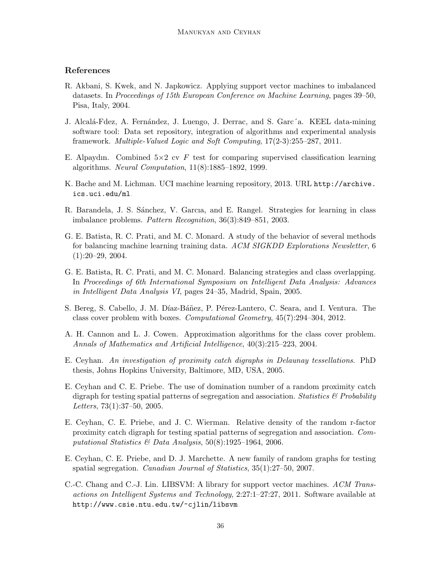# References

- <span id="page-35-0"></span>R. Akbani, S. Kwek, and N. Japkowicz. Applying support vector machines to imbalanced datasets. In Proceedings of 15th European Conference on Machine Learning, pages 39–50, Pisa, Italy, 2004.
- <span id="page-35-8"></span>J. Alcalá-Fdez, A. Fernández, J. Luengo, J. Derrac, and S. Garc´a. KEEL data-mining software tool: Data set repository, integration of algorithms and experimental analysis framework. Multiple-Valued Logic and Soft Computing, 17(2-3):255–287, 2011.
- <span id="page-35-9"></span>E. Alpaydın. Combined  $5\times2$  cv F test for comparing supervised classification learning algorithms. Neural Computation, 11(8):1885–1892, 1999.
- <span id="page-35-7"></span>K. Bache and M. Lichman. UCI machine learning repository, 2013. URL [http://archive.](http://archive.ics.uci.edu/ml) [ics.uci.edu/ml](http://archive.ics.uci.edu/ml).
- <span id="page-35-5"></span>R. Barandela, J. S. Sánchez, V. Garcia, and E. Rangel. Strategies for learning in class imbalance problems. Pattern Recognition, 36(3):849–851, 2003.
- <span id="page-35-3"></span>G. E. Batista, R. C. Prati, and M. C. Monard. A study of the behavior of several methods for balancing machine learning training data. ACM SIGKDD Explorations Newsletter, 6  $(1):20-29, 2004.$
- <span id="page-35-6"></span>G. E. Batista, R. C. Prati, and M. C. Monard. Balancing strategies and class overlapping. In Proceedings of 6th International Symposium on Intelligent Data Analysis: Advances in Intelligent Data Analysis VI, pages 24–35, Madrid, Spain, 2005.
- <span id="page-35-2"></span>S. Bereg, S. Cabello, J. M. Díaz-Báñez, P. Pérez-Lantero, C. Seara, and I. Ventura. The class cover problem with boxes. Computational Geometry, 45(7):294–304, 2012.
- <span id="page-35-1"></span>A. H. Cannon and L. J. Cowen. Approximation algorithms for the class cover problem. Annals of Mathematics and Artificial Intelligence, 40(3):215–223, 2004.
- <span id="page-35-10"></span>E. Ceyhan. An investigation of proximity catch digraphs in Delaunay tessellations. PhD thesis, Johns Hopkins University, Baltimore, MD, USA, 2005.
- <span id="page-35-11"></span>E. Ceyhan and C. E. Priebe. The use of domination number of a random proximity catch digraph for testing spatial patterns of segregation and association. Statistics  $\mathcal{B}'$  Probability Letters, 73(1):37–50, 2005.
- <span id="page-35-12"></span>E. Ceyhan, C. E. Priebe, and J. C. Wierman. Relative density of the random r-factor proximity catch digraph for testing spatial patterns of segregation and association. Computational Statistics & Data Analysis,  $50(8):1925-1964$ , 2006.
- <span id="page-35-13"></span>E. Ceyhan, C. E. Priebe, and D. J. Marchette. A new family of random graphs for testing spatial segregation. Canadian Journal of Statistics, 35(1):27–50, 2007.
- <span id="page-35-4"></span>C.-C. Chang and C.-J. Lin. LIBSVM: A library for support vector machines. ACM Transactions on Intelligent Systems and Technology, 2:27:1–27:27, 2011. Software available at <http://www.csie.ntu.edu.tw/~cjlin/libsvm>.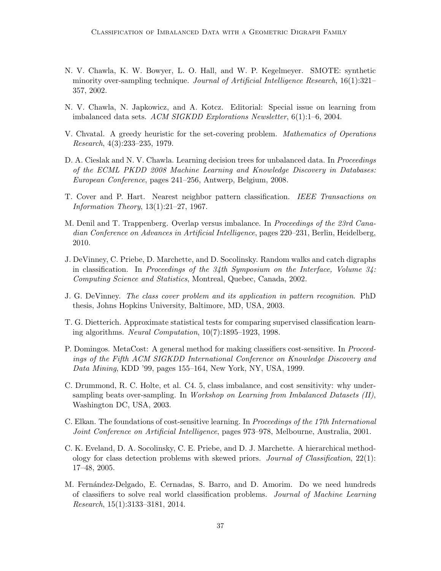- <span id="page-36-5"></span>N. V. Chawla, K. W. Bowyer, L. O. Hall, and W. P. Kegelmeyer. SMOTE: synthetic minority over-sampling technique. Journal of Artificial Intelligence Research, 16(1):321– 357, 2002.
- <span id="page-36-0"></span>N. V. Chawla, N. Japkowicz, and A. Kotcz. Editorial: Special issue on learning from imbalanced data sets. ACM SIGKDD Explorations Newsletter, 6(1):1–6, 2004.
- <span id="page-36-8"></span>V. Chvatal. A greedy heuristic for the set-covering problem. Mathematics of Operations Research, 4(3):233–235, 1979.
- <span id="page-36-10"></span>D. A. Cieslak and N. V. Chawla. Learning decision trees for unbalanced data. In *Proceedings* of the ECML PKDD 2008 Machine Learning and Knowledge Discovery in Databases: European Conference, pages 241–256, Antwerp, Belgium, 2008.
- <span id="page-36-1"></span>T. Cover and P. Hart. Nearest neighbor pattern classification. IEEE Transactions on Information Theory, 13(1):21–27, 1967.
- <span id="page-36-12"></span>M. Denil and T. Trappenberg. Overlap versus imbalance. In *Proceedings of the 23rd Cana*dian Conference on Advances in Artificial Intelligence, pages 220–231, Berlin, Heidelberg, 2010.
- <span id="page-36-3"></span>J. DeVinney, C. Priebe, D. Marchette, and D. Socolinsky. Random walks and catch digraphs in classification. In Proceedings of the  $34$ th Symposium on the Interface, Volume  $34$ : Computing Science and Statistics, Montreal, Quebec, Canada, 2002.
- <span id="page-36-9"></span>J. G. DeVinney. The class cover problem and its application in pattern recognition. PhD thesis, Johns Hopkins University, Baltimore, MD, USA, 2003.
- <span id="page-36-11"></span>T. G. Dietterich. Approximate statistical tests for comparing supervised classification learning algorithms. Neural Computation, 10(7):1895–1923, 1998.
- <span id="page-36-7"></span>P. Domingos. MetaCost: A general method for making classifiers cost-sensitive. In Proceedings of the Fifth ACM SIGKDD International Conference on Knowledge Discovery and Data Mining, KDD '99, pages 155–164, New York, NY, USA, 1999.
- <span id="page-36-4"></span>C. Drummond, R. C. Holte, et al. C4. 5, class imbalance, and cost sensitivity: why undersampling beats over-sampling. In Workshop on Learning from Imbalanced Datasets (II), Washington DC, USA, 2003.
- <span id="page-36-6"></span>C. Elkan. The foundations of cost-sensitive learning. In Proceedings of the 17th International Joint Conference on Artificial Intelligence, pages 973–978, Melbourne, Australia, 2001.
- <span id="page-36-13"></span>C. K. Eveland, D. A. Socolinsky, C. E. Priebe, and D. J. Marchette. A hierarchical methodology for class detection problems with skewed priors. Journal of Classification, 22(1): 17–48, 2005.
- <span id="page-36-2"></span>M. Fernández-Delgado, E. Cernadas, S. Barro, and D. Amorim. Do we need hundreds of classifiers to solve real world classification problems. Journal of Machine Learning Research, 15(1):3133–3181, 2014.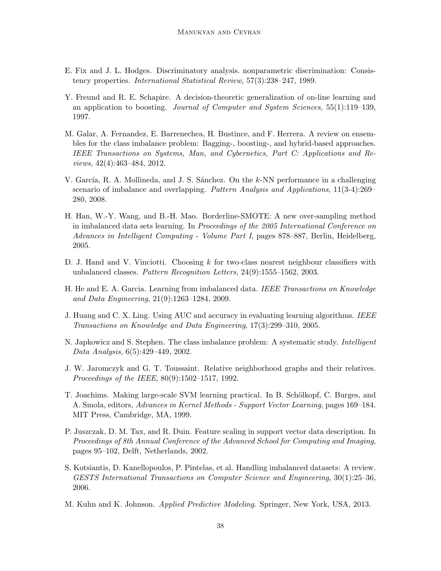- <span id="page-37-1"></span>E. Fix and J. L. Hodges. Discriminatory analysis. nonparametric discrimination: Consistency properties. International Statistical Review, 57(3):238–247, 1989.
- <span id="page-37-9"></span>Y. Freund and R. E. Schapire. A decision-theoretic generalization of on-line learning and an application to boosting. Journal of Computer and System Sciences, 55(1):119–139, 1997.
- <span id="page-37-8"></span>M. Galar, A. Fernandez, E. Barrenechea, H. Bustince, and F. Herrera. A review on ensembles for the class imbalance problem: Bagging-, boosting-, and hybrid-based approaches. IEEE Transactions on Systems, Man, and Cybernetics, Part C: Applications and Reviews, 42(4):463–484, 2012.
- <span id="page-37-2"></span>V. García, R. A. Mollineda, and J. S. Sánchez. On the k-NN performance in a challenging scenario of imbalance and overlapping. *Pattern Analysis and Applications*, 11(3-4):269– 280, 2008.
- <span id="page-37-6"></span>H. Han, W.-Y. Wang, and B.-H. Mao. Borderline-SMOTE: A new over-sampling method in imbalanced data sets learning. In Proceedings of the 2005 International Conference on Advances in Intelligent Computing - Volume Part I, pages 878–887, Berlin, Heidelberg, 2005.
- <span id="page-37-3"></span>D. J. Hand and V. Vinciotti. Choosing  $k$  for two-class nearest neighbour classifiers with unbalanced classes. Pattern Recognition Letters, 24(9):1555–1562, 2003.
- <span id="page-37-5"></span>H. He and E. A. Garcia. Learning from imbalanced data. IEEE Transactions on Knowledge and Data Engineering, 21(9):1263–1284, 2009.
- <span id="page-37-10"></span>J. Huang and C. X. Ling. Using AUC and accuracy in evaluating learning algorithms. IEEE Transactions on Knowledge and Data Engineering, 17(3):299–310, 2005.
- <span id="page-37-0"></span>N. Japkowicz and S. Stephen. The class imbalance problem: A systematic study. *Intelligent* Data Analysis, 6(5):429–449, 2002.
- <span id="page-37-13"></span>J. W. Jaromczyk and G. T. Toussaint. Relative neighborhood graphs and their relatives. Proceedings of the IEEE, 80(9):1502–1517, 1992.
- <span id="page-37-11"></span>T. Joachims. Making large-scale SVM learning practical. In B. Schölkopf, C. Burges, and A. Smola, editors, Advances in Kernel Methods - Support Vector Learning, pages 169–184. MIT Press, Cambridge, MA, 1999.
- <span id="page-37-12"></span>P. Juszczak, D. M. Tax, and R. Duin. Feature scaling in support vector data description. In Proceedings of 8th Annual Conference of the Advanced School for Computing and Imaging, pages 95–102, Delft, Netherlands, 2002.
- <span id="page-37-4"></span>S. Kotsiantis, D. Kanellopoulos, P. Pintelas, et al. Handling imbalanced datasets: A review. GESTS International Transactions on Computer Science and Engineering, 30(1):25–36, 2006.
- <span id="page-37-7"></span>M. Kuhn and K. Johnson. Applied Predictive Modeling. Springer, New York, USA, 2013.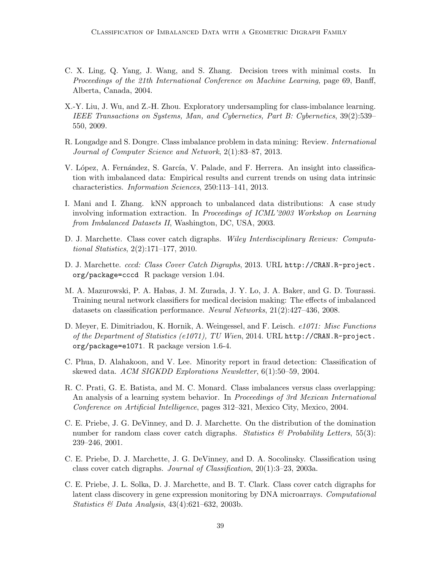- <span id="page-38-9"></span>C. X. Ling, Q. Yang, J. Wang, and S. Zhang. Decision trees with minimal costs. In Proceedings of the 21th International Conference on Machine Learning, page 69, Banff, Alberta, Canada, 2004.
- <span id="page-38-8"></span>X.-Y. Liu, J. Wu, and Z.-H. Zhou. Exploratory undersampling for class-imbalance learning. IEEE Transactions on Systems, Man, and Cybernetics, Part B: Cybernetics, 39(2):539– 550, 2009.
- <span id="page-38-7"></span>R. Longadge and S. Dongre. Class imbalance problem in data mining: Review. International Journal of Computer Science and Network, 2(1):83–87, 2013.
- <span id="page-38-0"></span>V. López, A. Fernández, S. García, V. Palade, and F. Herrera. An insight into classification with imbalanced data: Empirical results and current trends on using data intrinsic characteristics. Information Sciences, 250:113–141, 2013.
- <span id="page-38-3"></span>I. Mani and I. Zhang. kNN approach to unbalanced data distributions: A case study involving information extraction. In Proceedings of ICML'2003 Workshop on Learning from Imbalanced Datasets II, Washington, DC, USA, 2003.
- <span id="page-38-10"></span>D. J. Marchette. Class cover catch digraphs. Wiley Interdisciplinary Reviews: Computational Statistics, 2(2):171–177, 2010.
- <span id="page-38-12"></span>D. J. Marchette. cccd: Class Cover Catch Digraphs, 2013. URL [http://CRAN.R-project.](http://CRAN.R-project.org/package=cccd) [org/package=cccd](http://CRAN.R-project.org/package=cccd). R package version 1.04.
- <span id="page-38-1"></span>M. A. Mazurowski, P. A. Habas, J. M. Zurada, J. Y. Lo, J. A. Baker, and G. D. Tourassi. Training neural network classifiers for medical decision making: The effects of imbalanced datasets on classification performance. Neural Networks, 21(2):427–436, 2008.
- <span id="page-38-13"></span>D. Meyer, E. Dimitriadou, K. Hornik, A. Weingessel, and F. Leisch. e1071: Misc Functions of the Department of Statistics (e1071), TU Wien, 2014. URL [http://CRAN.R-project.](http://CRAN.R-project.org/package=e1071) [org/package=e1071](http://CRAN.R-project.org/package=e1071). R package version 1.6-4.
- <span id="page-38-2"></span>C. Phua, D. Alahakoon, and V. Lee. Minority report in fraud detection: Classification of skewed data. ACM SIGKDD Explorations Newsletter, 6(1):50–59, 2004.
- <span id="page-38-11"></span>R. C. Prati, G. E. Batista, and M. C. Monard. Class imbalances versus class overlapping: An analysis of a learning system behavior. In *Proceedings of 3rd Mexican International* Conference on Artificial Intelligence, pages 312–321, Mexico City, Mexico, 2004.
- <span id="page-38-4"></span>C. E. Priebe, J. G. DeVinney, and D. J. Marchette. On the distribution of the domination number for random class cover catch digraphs. Statistics  $\mathcal{B}$  Probability Letters, 55(3): 239–246, 2001.
- <span id="page-38-5"></span>C. E. Priebe, D. J. Marchette, J. G. DeVinney, and D. A. Socolinsky. Classification using class cover catch digraphs. Journal of Classification, 20(1):3–23, 2003a.
- <span id="page-38-6"></span>C. E. Priebe, J. L. Solka, D. J. Marchette, and B. T. Clark. Class cover catch digraphs for latent class discovery in gene expression monitoring by DNA microarrays. Computational Statistics & Data Analysis,  $43(4):621-632$ ,  $2003b$ .